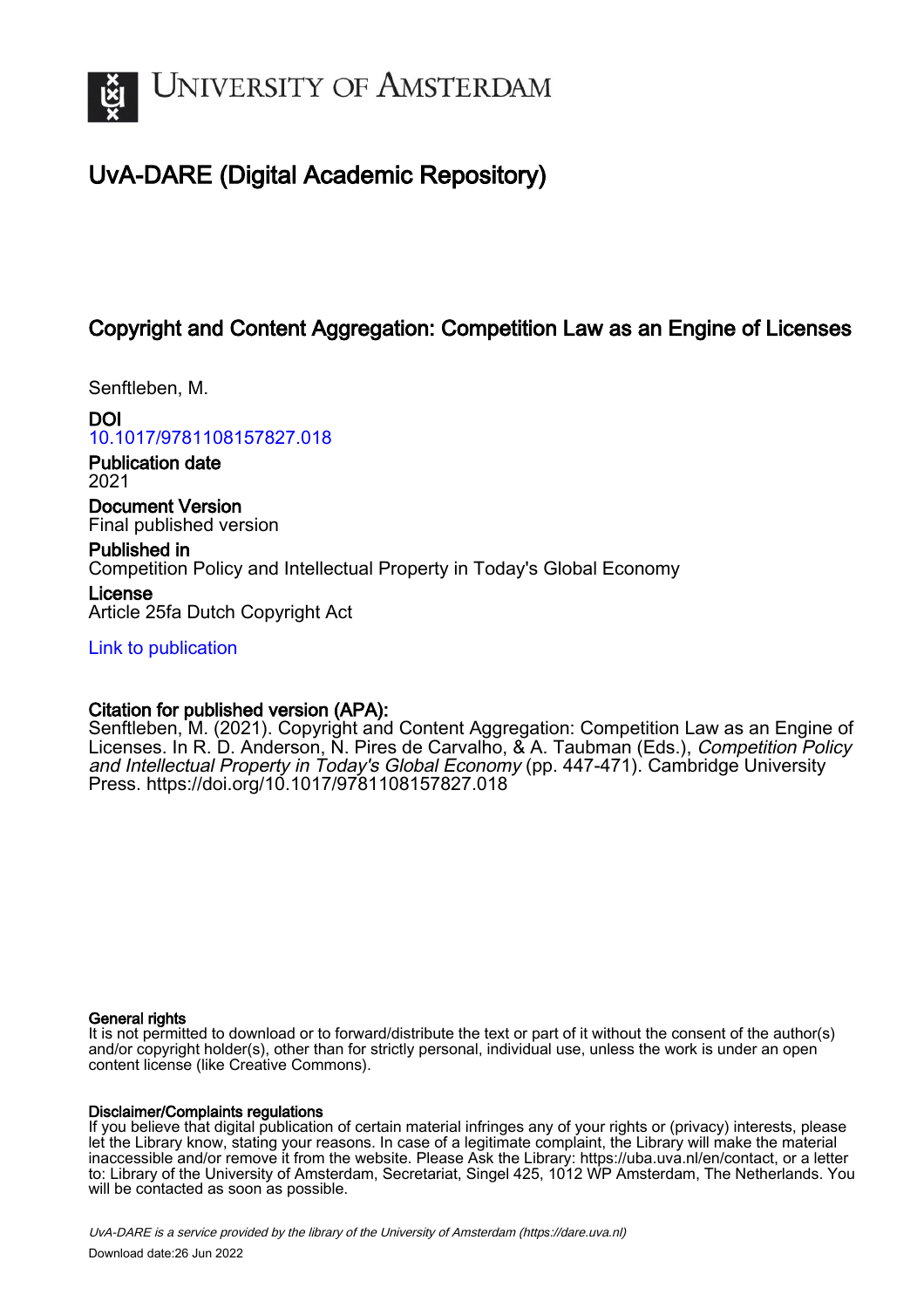

# UvA-DARE (Digital Academic Repository)

# Copyright and Content Aggregation: Competition Law as an Engine of Licenses

Senftleben, M.

DOI [10.1017/9781108157827.018](https://doi.org/10.1017/9781108157827.018)

Publication date 2021

Document Version Final published version

Published in Competition Policy and Intellectual Property in Today's Global Economy License Article 25fa Dutch Copyright Act

[Link to publication](https://dare.uva.nl/personal/pure/en/publications/copyright-and-content-aggregation-competition-law-as-an-engine-of-licenses(5d1f034a-c5d1-4120-b6dc-f18d533b9bf6).html)

# Citation for published version (APA):

Senftleben, M. (2021). Copyright and Content Aggregation: Competition Law as an Engine of Licenses. In R. D. Anderson, N. Pires de Carvalho, & A. Taubman (Eds.), Competition Policy and Intellectual Property in Today's Global Economy (pp. 447-471). Cambridge University Press.<https://doi.org/10.1017/9781108157827.018>

## General rights

It is not permitted to download or to forward/distribute the text or part of it without the consent of the author(s) and/or copyright holder(s), other than for strictly personal, individual use, unless the work is under an open content license (like Creative Commons).

## Disclaimer/Complaints regulations

If you believe that digital publication of certain material infringes any of your rights or (privacy) interests, please let the Library know, stating your reasons. In case of a legitimate complaint, the Library will make the material inaccessible and/or remove it from the website. Please Ask the Library: https://uba.uva.nl/en/contact, or a letter to: Library of the University of Amsterdam, Secretariat, Singel 425, 1012 WP Amsterdam, The Netherlands. You will be contacted as soon as possible.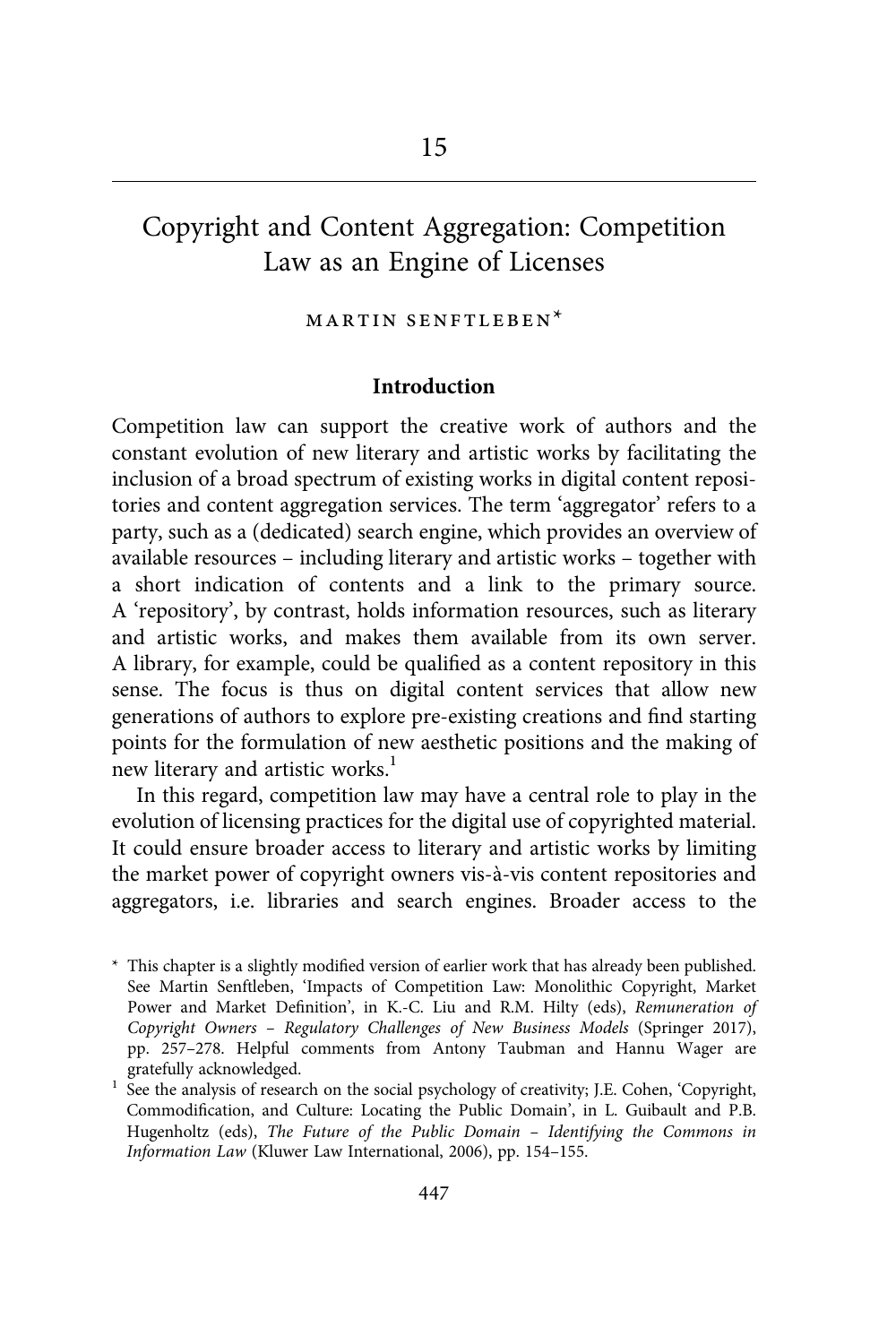# Copyright and Content Aggregation: Competition Law as an Engine of Licenses

#### MARTIN SENFTLEBEN<sup>\*</sup>

#### **Introduction**

Competition law can support the creative work of authors and the constant evolution of new literary and artistic works by facilitating the inclusion of a broad spectrum of existing works in digital content repositories and content aggregation services. The term 'aggregator' refers to a party, such as a (dedicated) search engine, which provides an overview of available resources – including literary and artistic works – together with a short indication of contents and a link to the primary source. A 'repository', by contrast, holds information resources, such as literary and artistic works, and makes them available from its own server. A library, for example, could be qualified as a content repository in this sense. The focus is thus on digital content services that allow new generations of authors to explore pre-existing creations and find starting points for the formulation of new aesthetic positions and the making of new literary and artistic works.<sup>1</sup>

In this regard, competition law may have a central role to play in the evolution of licensing practices for the digital use of copyrighted material. It could ensure broader access to literary and artistic works by limiting the market power of copyright owners vis-à-vis content repositories and aggregators, i.e. libraries and search engines. Broader access to the

<sup>\*</sup> This chapter is a slightly modified version of earlier work that has already been published. See Martin Senftleben, 'Impacts of Competition Law: Monolithic Copyright, Market Power and Market Definition', in K.-C. Liu and R.M. Hilty (eds), Remuneration of Copyright Owners – Regulatory Challenges of New Business Models (Springer 2017), pp. 257–278. Helpful comments from Antony Taubman and Hannu Wager are

gratefully acknowledged.  $1$  See the analysis of research on the social psychology of creativity; J.E. Cohen, 'Copyright, Commodification, and Culture: Locating the Public Domain', in L. Guibault and P.B. Hugenholtz (eds), The Future of the Public Domain – Identifying the Commons in Information Law (Kluwer Law International, 2006), pp. 154–155.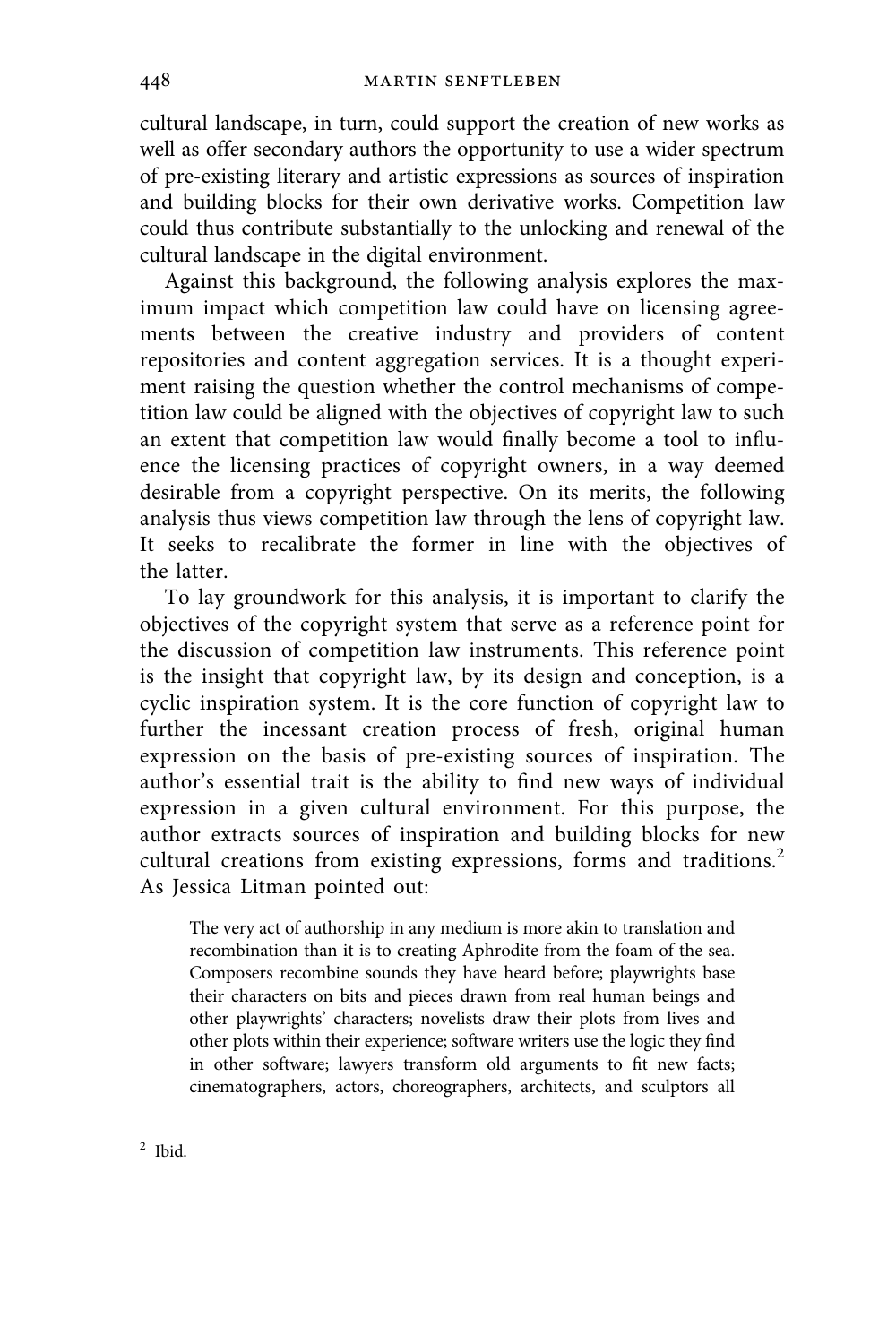cultural landscape, in turn, could support the creation of new works as well as offer secondary authors the opportunity to use a wider spectrum of pre-existing literary and artistic expressions as sources of inspiration and building blocks for their own derivative works. Competition law could thus contribute substantially to the unlocking and renewal of the cultural landscape in the digital environment.

Against this background, the following analysis explores the maximum impact which competition law could have on licensing agreements between the creative industry and providers of content repositories and content aggregation services. It is a thought experiment raising the question whether the control mechanisms of competition law could be aligned with the objectives of copyright law to such an extent that competition law would finally become a tool to influence the licensing practices of copyright owners, in a way deemed desirable from a copyright perspective. On its merits, the following analysis thus views competition law through the lens of copyright law. It seeks to recalibrate the former in line with the objectives of the latter.

To lay groundwork for this analysis, it is important to clarify the objectives of the copyright system that serve as a reference point for the discussion of competition law instruments. This reference point is the insight that copyright law, by its design and conception, is a cyclic inspiration system. It is the core function of copyright law to further the incessant creation process of fresh, original human expression on the basis of pre-existing sources of inspiration. The author's essential trait is the ability to find new ways of individual expression in a given cultural environment. For this purpose, the author extracts sources of inspiration and building blocks for new cultural creations from existing expressions, forms and traditions.<sup>2</sup> As Jessica Litman pointed out:

The very act of authorship in any medium is more akin to translation and recombination than it is to creating Aphrodite from the foam of the sea. Composers recombine sounds they have heard before; playwrights base their characters on bits and pieces drawn from real human beings and other playwrights' characters; novelists draw their plots from lives and other plots within their experience; software writers use the logic they find in other software; lawyers transform old arguments to fit new facts; cinematographers, actors, choreographers, architects, and sculptors all

<sup>2</sup> Ibid.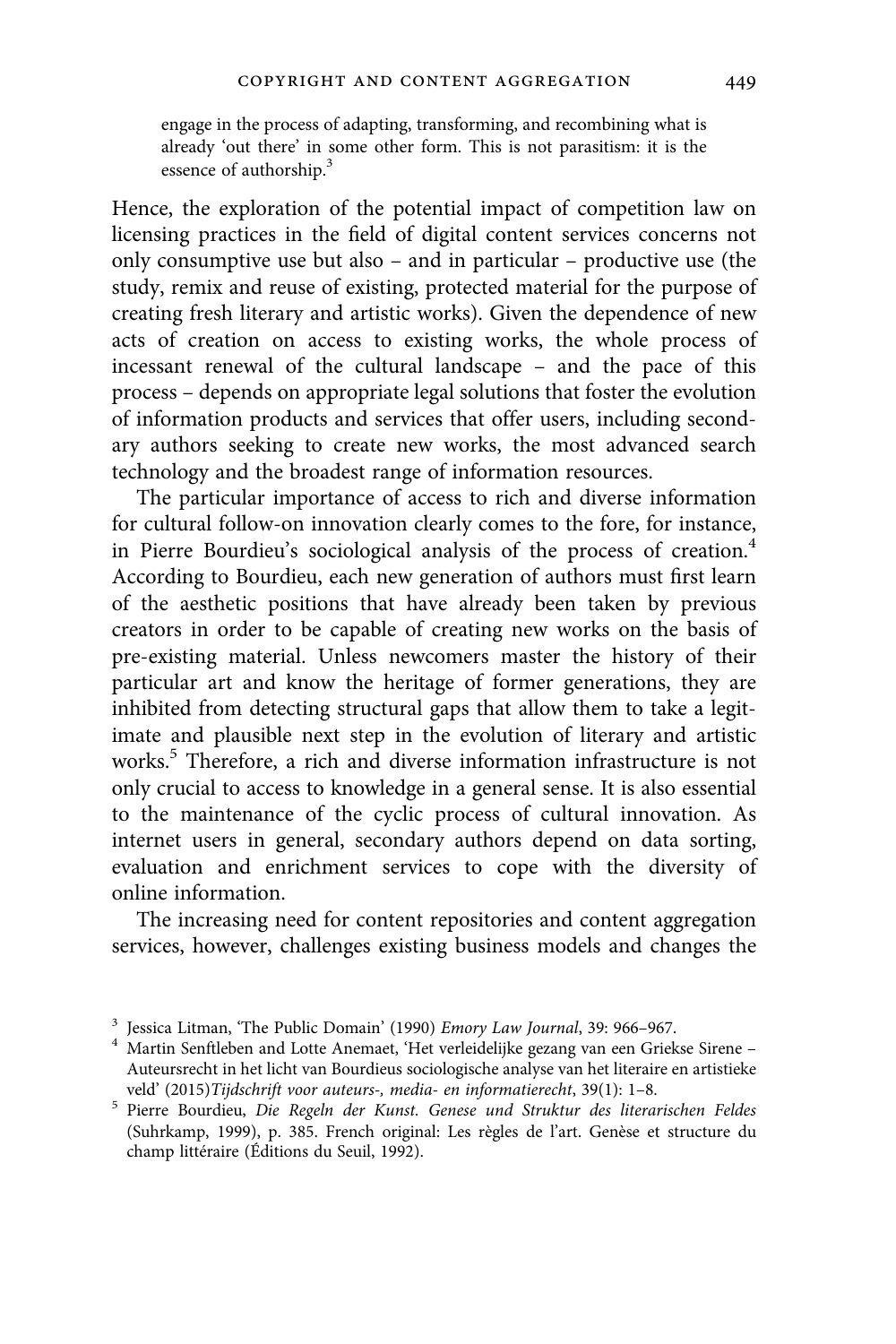engage in the process of adapting, transforming, and recombining what is already 'out there' in some other form. This is not parasitism: it is the essence of authorship.<sup>3</sup>

Hence, the exploration of the potential impact of competition law on licensing practices in the field of digital content services concerns not only consumptive use but also – and in particular – productive use (the study, remix and reuse of existing, protected material for the purpose of creating fresh literary and artistic works). Given the dependence of new acts of creation on access to existing works, the whole process of incessant renewal of the cultural landscape – and the pace of this process – depends on appropriate legal solutions that foster the evolution of information products and services that offer users, including secondary authors seeking to create new works, the most advanced search technology and the broadest range of information resources.

The particular importance of access to rich and diverse information for cultural follow-on innovation clearly comes to the fore, for instance, in Pierre Bourdieu's sociological analysis of the process of creation.<sup>4</sup> According to Bourdieu, each new generation of authors must first learn of the aesthetic positions that have already been taken by previous creators in order to be capable of creating new works on the basis of pre-existing material. Unless newcomers master the history of their particular art and know the heritage of former generations, they are inhibited from detecting structural gaps that allow them to take a legitimate and plausible next step in the evolution of literary and artistic works.<sup>5</sup> Therefore, a rich and diverse information infrastructure is not only crucial to access to knowledge in a general sense. It is also essential to the maintenance of the cyclic process of cultural innovation. As internet users in general, secondary authors depend on data sorting, evaluation and enrichment services to cope with the diversity of online information.

The increasing need for content repositories and content aggregation services, however, challenges existing business models and changes the

<sup>&</sup>lt;sup>3</sup> Jessica Litman, 'The Public Domain' (1990) *Emory Law Journal*, 39: 966–967.<br><sup>4</sup> Martin Senftleben and Lotte Anemaet, 'Het verleidelijke gezang van een Griekse Sirene – Auteursrecht in het licht van Bourdieus sociologische analyse van het literaire en artistieke veld' (2015) Tijdschrift voor auteurs-, media- en informatierecht, 39(1): 1-8.

<sup>&</sup>lt;sup>5</sup> Pierre Bourdieu, Die Regeln der Kunst. Genese und Struktur des literarischen Feldes (Suhrkamp, 1999), p. 385. French original: Les règles de l'art. Genèse et structure du champ littéraire (Éditions du Seuil, 1992).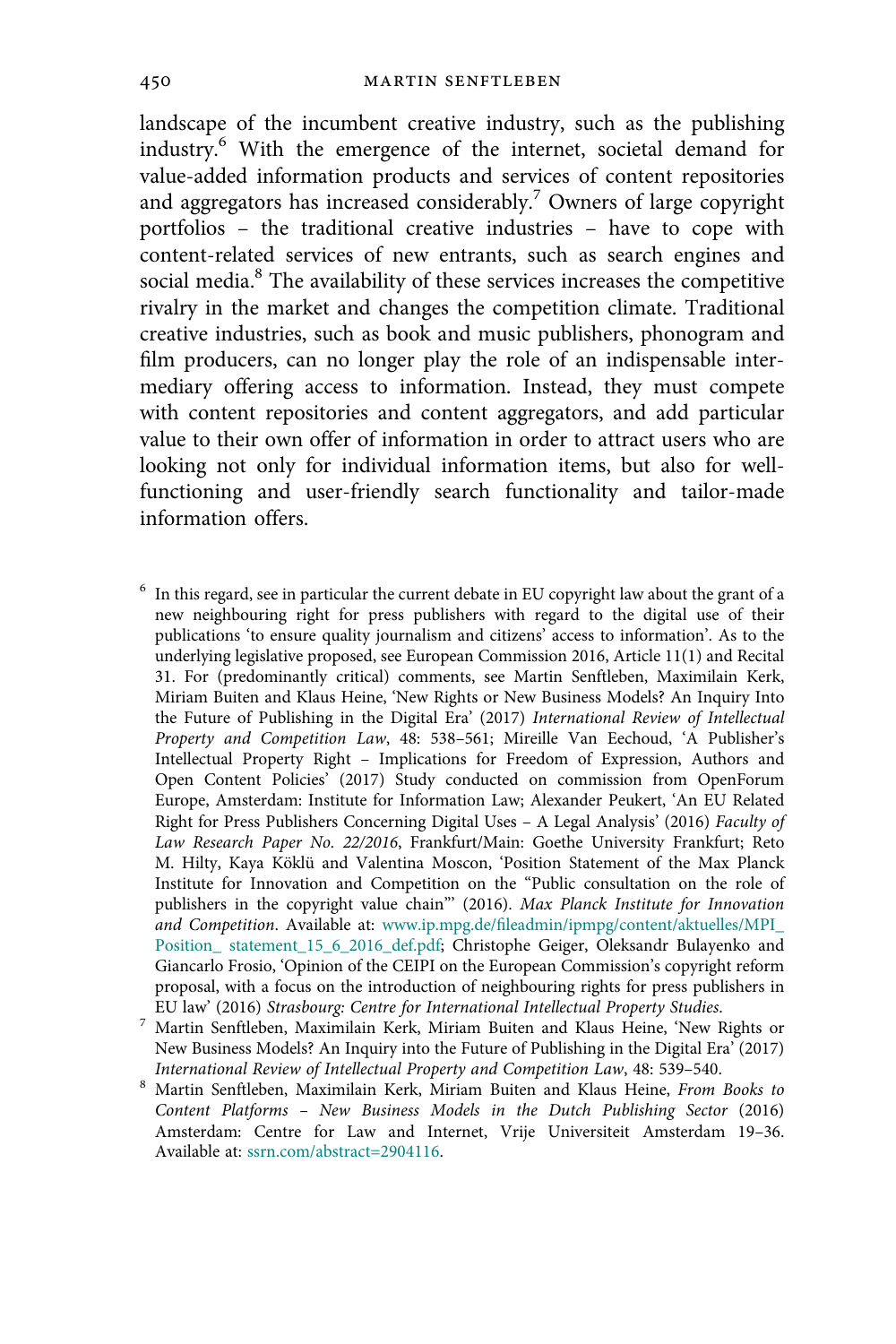landscape of the incumbent creative industry, such as the publishing industry.<sup>6</sup> With the emergence of the internet, societal demand for value-added information products and services of content repositories and aggregators has increased considerably.<sup>7</sup> Owners of large copyright portfolios – the traditional creative industries – have to cope with content-related services of new entrants, such as search engines and social media.<sup>8</sup> The availability of these services increases the competitive rivalry in the market and changes the competition climate. Traditional creative industries, such as book and music publishers, phonogram and film producers, can no longer play the role of an indispensable intermediary offering access to information. Instead, they must compete with content repositories and content aggregators, and add particular value to their own offer of information in order to attract users who are looking not only for individual information items, but also for wellfunctioning and user-friendly search functionality and tailor-made information offers.

 $^6\,$  In this regard, see in particular the current debate in EU copyright law about the grant of a new neighbouring right for press publishers with regard to the digital use of their publications 'to ensure quality journalism and citizens' access to information'. As to the underlying legislative proposed, see European Commission 2016, Article 11(1) and Recital 31. For (predominantly critical) comments, see Martin Senftleben, Maximilain Kerk, Miriam Buiten and Klaus Heine, 'New Rights or New Business Models? An Inquiry Into the Future of Publishing in the Digital Era' (2017) International Review of Intellectual Property and Competition Law, 48: 538–561; Mireille Van Eechoud, 'A Publisher's Intellectual Property Right – Implications for Freedom of Expression, Authors and Open Content Policies' (2017) Study conducted on commission from OpenForum Europe, Amsterdam: Institute for Information Law; Alexander Peukert, 'An EU Related Right for Press Publishers Concerning Digital Uses – A Legal Analysis' (2016) Faculty of Law Research Paper No. 22/2016, Frankfurt/Main: Goethe University Frankfurt; Reto M. Hilty, Kaya Köklü and Valentina Moscon, 'Position Statement of the Max Planck Institute for Innovation and Competition on the "Public consultation on the role of publishers in the copyright value chain"' (2016). Max Planck Institute for Innovation and Competition. Available at: [www.ip.mpg.](http://www.ip.mpg.de/fileadmin/ipmpg/content/aktuelles/MPI_Position_%20statement_15_6_2016_def.pdf)de/fi[leadmin/ipmpg/content/aktuelles/MPI\\_](http://www.ip.mpg.de/fileadmin/ipmpg/content/aktuelles/MPI_Position_%20statement_15_6_2016_def.pdf) [Position\\_ statement\\_15\\_6\\_2016\\_def.pdf](http://www.ip.mpg.de/fileadmin/ipmpg/content/aktuelles/MPI_Position_%20statement_15_6_2016_def.pdf); Christophe Geiger, Oleksandr Bulayenko and Giancarlo Frosio, 'Opinion of the CEIPI on the European Commission's copyright reform proposal, with a focus on the introduction of neighbouring rights for press publishers in

 $^\circ$  EU law' (2016) Strasbourg: Centre for International Intellectual Property Studies. $^7$  Martin Senftleben, Maximilain Kerk, Miriam Buiten and Klaus Heine, 'New Rights or New Business Models? An Inquiry into the Future of Publishing in the Digital Era' (2017)

International Review of Intellectual Property and Competition Law, 48: 539–540. <sup>8</sup> Martin Senftleben, Maximilain Kerk, Miriam Buiten and Klaus Heine, From Books to Content Platforms – New Business Models in the Dutch Publishing Sector (2016) Amsterdam: Centre for Law and Internet, Vrije Universiteit Amsterdam 19–36. Available at: [ssrn.com/abstract=2904116.](http://ssrn.com/abstract=2904116)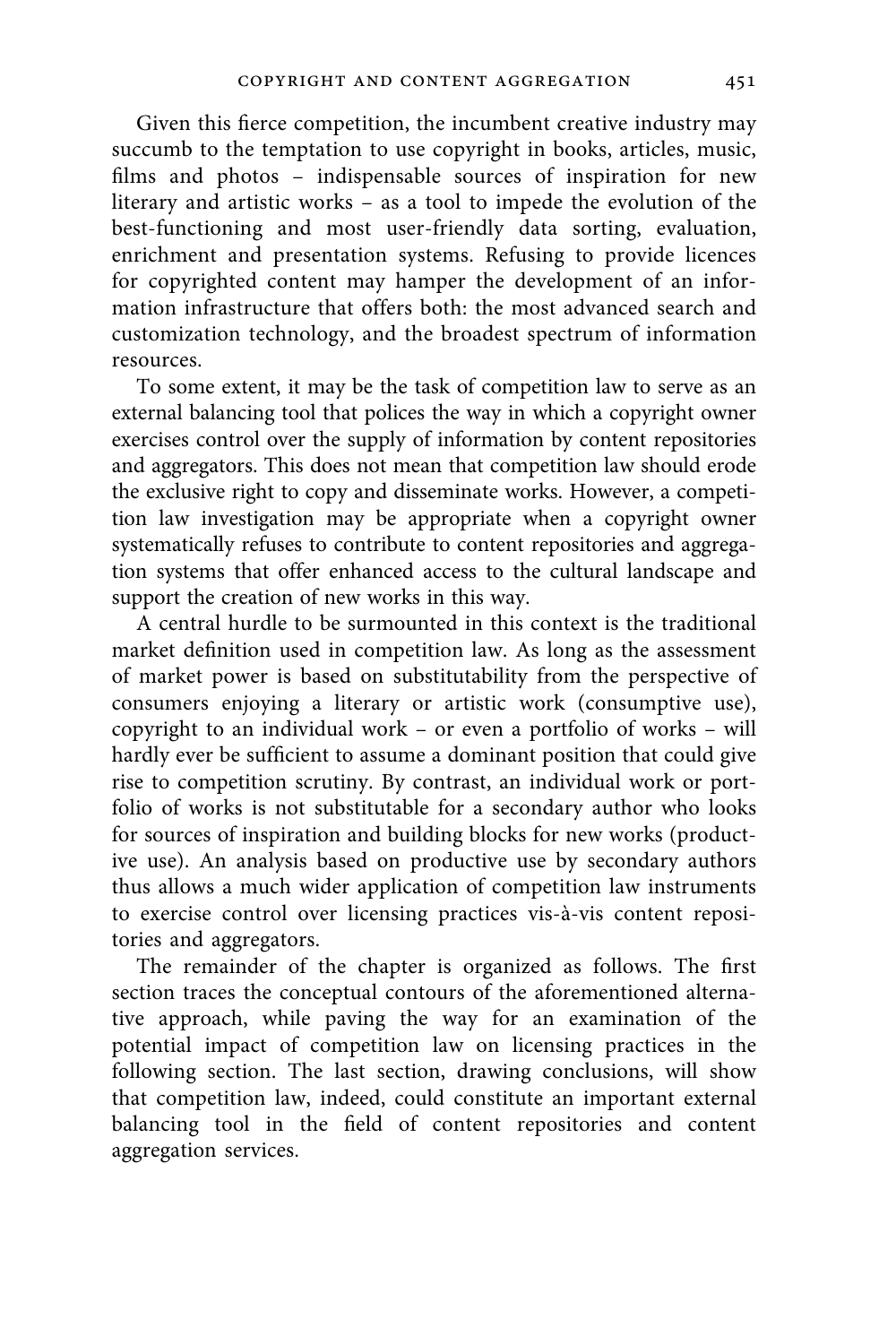Given this fierce competition, the incumbent creative industry may succumb to the temptation to use copyright in books, articles, music, films and photos – indispensable sources of inspiration for new literary and artistic works – as a tool to impede the evolution of the best-functioning and most user-friendly data sorting, evaluation, enrichment and presentation systems. Refusing to provide licences for copyrighted content may hamper the development of an information infrastructure that offers both: the most advanced search and customization technology, and the broadest spectrum of information resources.

To some extent, it may be the task of competition law to serve as an external balancing tool that polices the way in which a copyright owner exercises control over the supply of information by content repositories and aggregators. This does not mean that competition law should erode the exclusive right to copy and disseminate works. However, a competition law investigation may be appropriate when a copyright owner systematically refuses to contribute to content repositories and aggregation systems that offer enhanced access to the cultural landscape and support the creation of new works in this way.

A central hurdle to be surmounted in this context is the traditional market definition used in competition law. As long as the assessment of market power is based on substitutability from the perspective of consumers enjoying a literary or artistic work (consumptive use), copyright to an individual work – or even a portfolio of works – will hardly ever be sufficient to assume a dominant position that could give rise to competition scrutiny. By contrast, an individual work or portfolio of works is not substitutable for a secondary author who looks for sources of inspiration and building blocks for new works (productive use). An analysis based on productive use by secondary authors thus allows a much wider application of competition law instruments to exercise control over licensing practices vis-à-vis content repositories and aggregators.

The remainder of the chapter is organized as follows. The first section traces the conceptual contours of the aforementioned alternative approach, while paving the way for an examination of the potential impact of competition law on licensing practices in the following section. The last section, drawing conclusions, will show that competition law, indeed, could constitute an important external balancing tool in the field of content repositories and content aggregation services.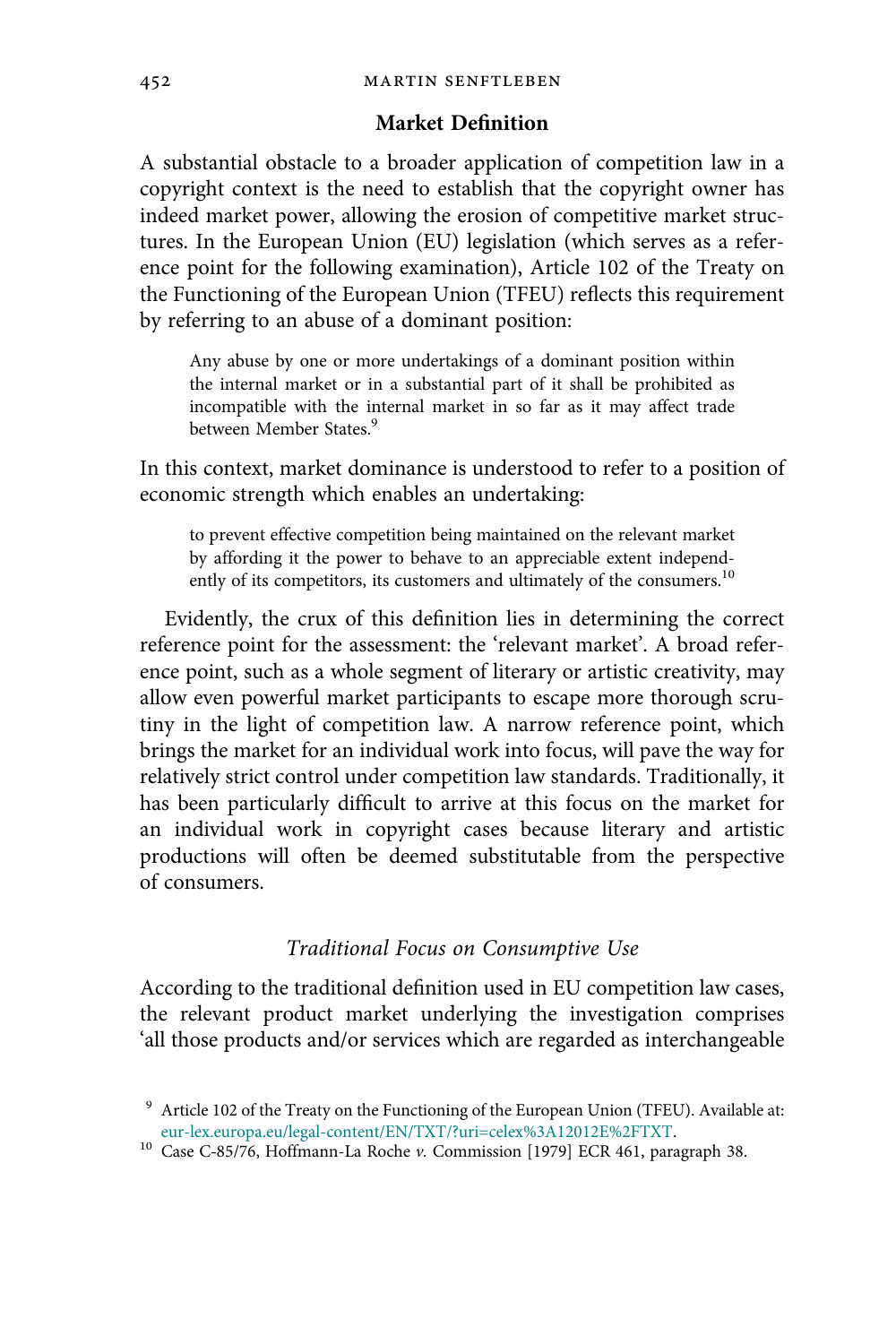#### **Market Definition**

A substantial obstacle to a broader application of competition law in a copyright context is the need to establish that the copyright owner has indeed market power, allowing the erosion of competitive market structures. In the European Union (EU) legislation (which serves as a reference point for the following examination), Article 102 of the Treaty on the Functioning of the European Union (TFEU) reflects this requirement by referring to an abuse of a dominant position:

Any abuse by one or more undertakings of a dominant position within the internal market or in a substantial part of it shall be prohibited as incompatible with the internal market in so far as it may affect trade between Member States.<sup>9</sup>

In this context, market dominance is understood to refer to a position of economic strength which enables an undertaking:

to prevent effective competition being maintained on the relevant market by affording it the power to behave to an appreciable extent independently of its competitors, its customers and ultimately of the consumers.<sup>10</sup>

Evidently, the crux of this definition lies in determining the correct reference point for the assessment: the 'relevant market'. A broad reference point, such as a whole segment of literary or artistic creativity, may allow even powerful market participants to escape more thorough scrutiny in the light of competition law. A narrow reference point, which brings the market for an individual work into focus, will pave the way for relatively strict control under competition law standards. Traditionally, it has been particularly difficult to arrive at this focus on the market for an individual work in copyright cases because literary and artistic productions will often be deemed substitutable from the perspective of consumers.

#### Traditional Focus on Consumptive Use

According to the traditional definition used in EU competition law cases, the relevant product market underlying the investigation comprises 'all those products and/or services which are regarded as interchangeable

<sup>&</sup>lt;sup>9</sup> Article 102 of the Treaty on the Functioning of the European Union (TFEU). Available at:<br>  $\text{eur-lex.europa.eu/legal-content/ENT/?uri=celex%3A12012E%2FTXT}.$ 

<sup>&</sup>lt;sup>10</sup> Case C-85/76, Hoffmann-La Roche v. Commission [1979] ECR 461, paragraph 38.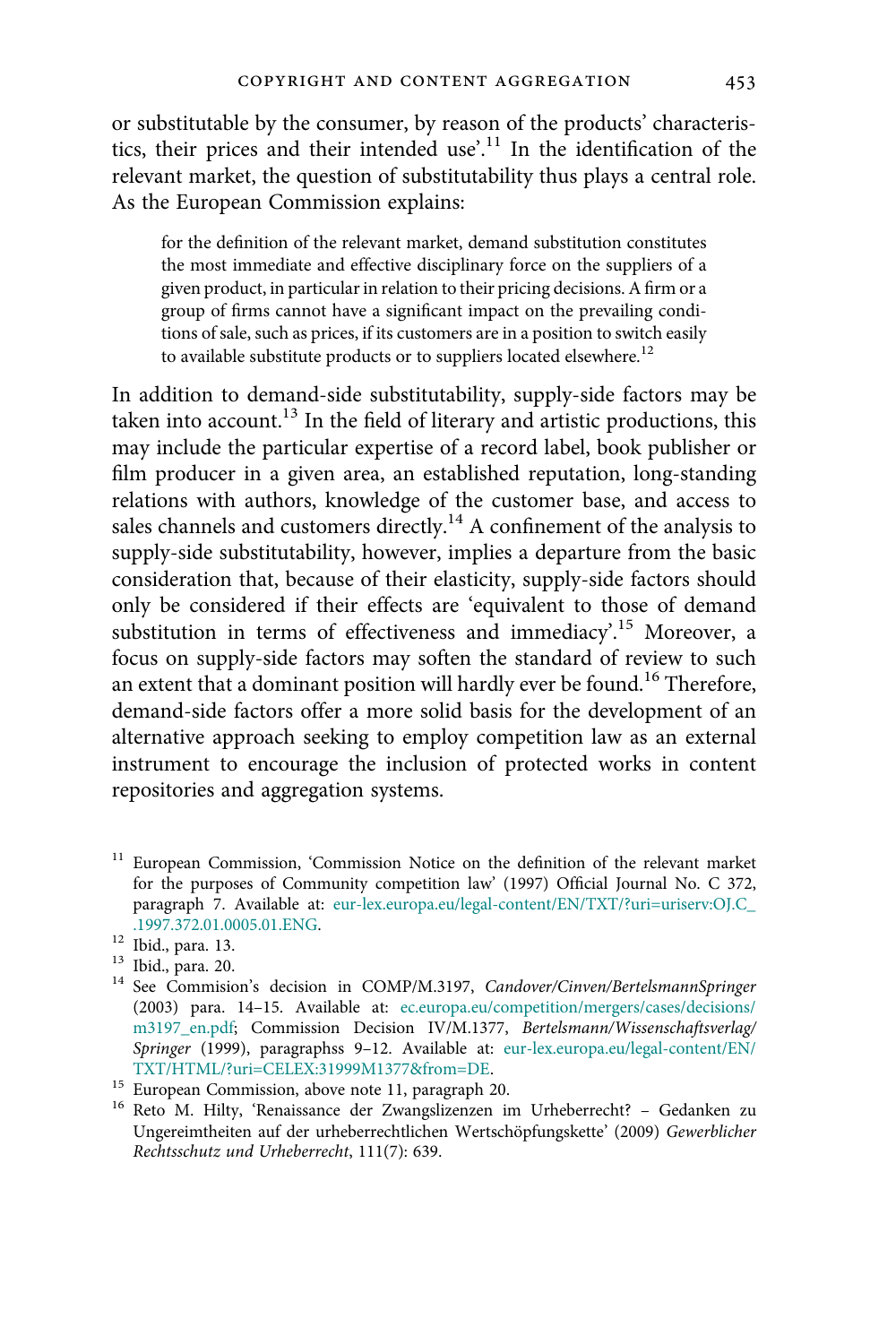or substitutable by the consumer, by reason of the products' characteristics, their prices and their intended use'.<sup>11</sup> In the identification of the relevant market, the question of substitutability thus plays a central role. As the European Commission explains:

for the definition of the relevant market, demand substitution constitutes the most immediate and effective disciplinary force on the suppliers of a given product, in particular in relation to their pricing decisions. A firm or a group of firms cannot have a significant impact on the prevailing conditions of sale, such as prices, if its customers are in a position to switch easily to available substitute products or to suppliers located elsewhere.<sup>12</sup>

In addition to demand-side substitutability, supply-side factors may be taken into account. $^{13}$  In the field of literary and artistic productions, this may include the particular expertise of a record label, book publisher or film producer in a given area, an established reputation, long-standing relations with authors, knowledge of the customer base, and access to sales channels and customers directly.<sup>14</sup> A confinement of the analysis to supply-side substitutability, however, implies a departure from the basic consideration that, because of their elasticity, supply-side factors should only be considered if their effects are 'equivalent to those of demand substitution in terms of effectiveness and immediacy'.<sup>15</sup> Moreover, a focus on supply-side factors may soften the standard of review to such an extent that a dominant position will hardly ever be found.<sup>16</sup> Therefore, demand-side factors offer a more solid basis for the development of an alternative approach seeking to employ competition law as an external instrument to encourage the inclusion of protected works in content repositories and aggregation systems.

<sup>&</sup>lt;sup>11</sup> European Commission, 'Commission Notice on the definition of the relevant market for the purposes of Community competition law' (1997) Official Journal No. C 372, paragraph 7. Available at: [eur-lex.europa.eu/legal-content/EN/TXT/?uri=uriserv:OJ.C\\_](file://users/denisebannerman/Desktop/Anderson%20edited/eur-lex.europa.eu/legal-content/EN/TXT/%3furi=uriserv:OJ.�C_.1997.372.01.0005.01.ENG) [.1997.372.01.0005.01.ENG](file://users/denisebannerman/Desktop/Anderson%20edited/eur-lex.europa.eu/legal-content/EN/TXT/%3furi=uriserv:OJ.�C_.1997.372.01.0005.01.ENG).<br><sup>12</sup> Ibid., para. 13.<br><sup>13</sup> Ibid., para. 20.<br><sup>14</sup> See Commision's decision in COMP/M.3197, *Candover/Cinven/BertelsmannSpringer* 

<sup>(2003)</sup> para. 14–15. Available at: [ec.europa.eu/competition/mergers/cases/decisions/](http://ec.europa.eu/competition/mergers/cases/decisions/m3197_en.pdf) [m3197\\_en.pdf;](http://ec.europa.eu/competition/mergers/cases/decisions/m3197_en.pdf) Commission Decision IV/M.1377, Bertelsmann/Wissenschaftsverlag/ Springer (1999), paragraphss 9–12. Available at: [eur-lex.europa.eu/legal-content/EN/](file://users/denisebannerman/Desktop/Anderson%20edited/eur-lex.europa.eu/legal-content/EN/TXT/HTML/%3furi=CELEX:31999M1377%26from=DE) [TXT/HTML/?uri=CELEX:31999M1377&from=DE](file://users/denisebannerman/Desktop/Anderson%20edited/eur-lex.europa.eu/legal-content/EN/TXT/HTML/%3furi=CELEX:31999M1377%26from=DE). 15 European Commission, above note 11, paragraph 20. 16 Reto M. Hilty, 'Renaissance der Zwangslizenzen im Urheberrecht? – Gedanken zu

Ungereimtheiten auf der urheberrechtlichen Wertschöpfungskette' (2009) Gewerblicher Rechtsschutz und Urheberrecht, 111(7): 639.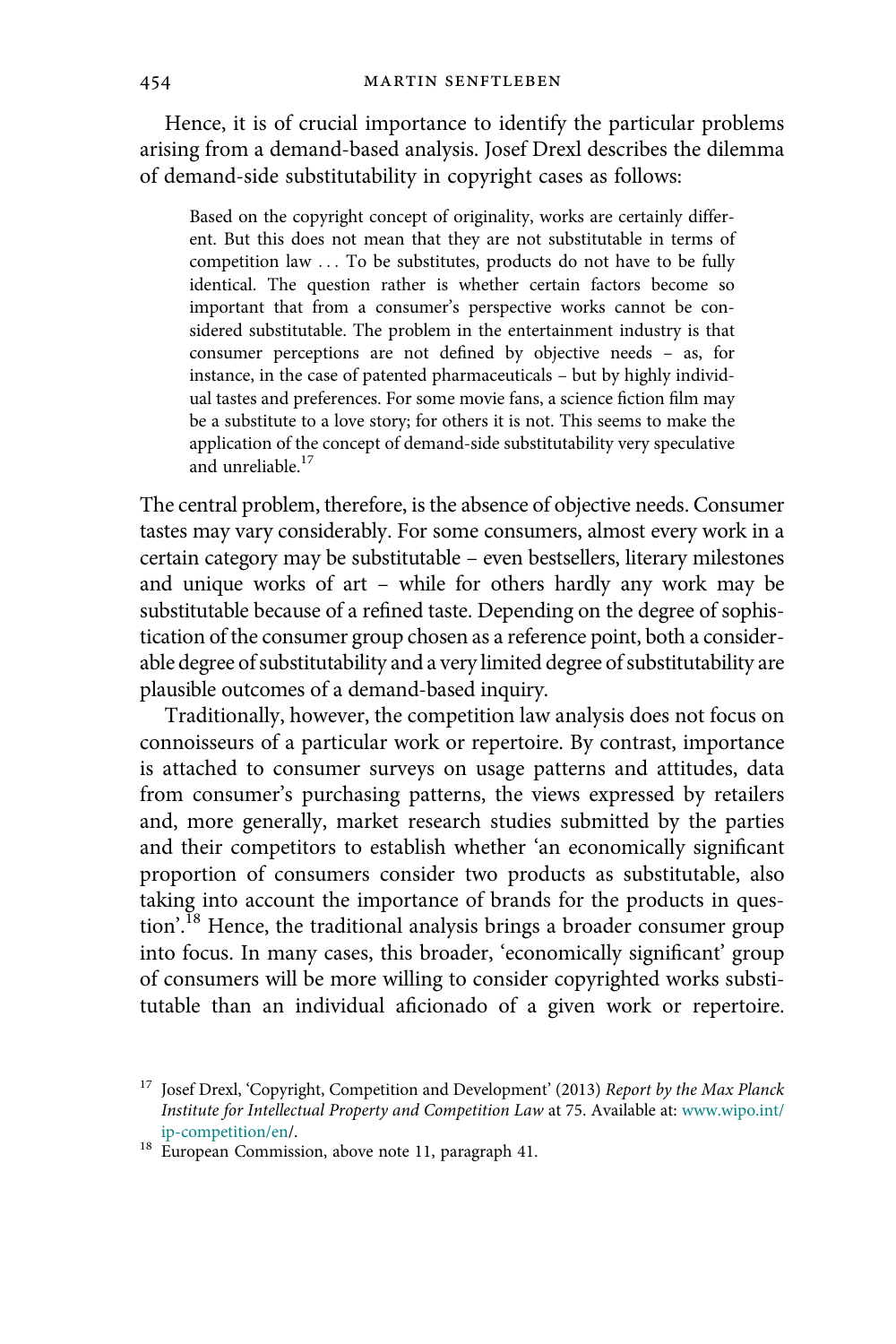Hence, it is of crucial importance to identify the particular problems arising from a demand-based analysis. Josef Drexl describes the dilemma of demand-side substitutability in copyright cases as follows:

Based on the copyright concept of originality, works are certainly different. But this does not mean that they are not substitutable in terms of competition law ... To be substitutes, products do not have to be fully identical. The question rather is whether certain factors become so important that from a consumer's perspective works cannot be considered substitutable. The problem in the entertainment industry is that consumer perceptions are not defined by objective needs – as, for instance, in the case of patented pharmaceuticals – but by highly individual tastes and preferences. For some movie fans, a science fiction film may be a substitute to a love story; for others it is not. This seems to make the application of the concept of demand-side substitutability very speculative and unreliable.<sup>17</sup>

The central problem, therefore, is the absence of objective needs. Consumer tastes may vary considerably. For some consumers, almost every work in a certain category may be substitutable – even bestsellers, literary milestones and unique works of art – while for others hardly any work may be substitutable because of a refined taste. Depending on the degree of sophistication of the consumer group chosen as a reference point, both a considerable degree of substitutability and a very limited degree of substitutability are plausible outcomes of a demand-based inquiry.

Traditionally, however, the competition law analysis does not focus on connoisseurs of a particular work or repertoire. By contrast, importance is attached to consumer surveys on usage patterns and attitudes, data from consumer's purchasing patterns, the views expressed by retailers and, more generally, market research studies submitted by the parties and their competitors to establish whether 'an economically significant proportion of consumers consider two products as substitutable, also taking into account the importance of brands for the products in question'.<sup>18</sup> Hence, the traditional analysis brings a broader consumer group into focus. In many cases, this broader, 'economically significant' group of consumers will be more willing to consider copyrighted works substitutable than an individual aficionado of a given work or repertoire.

<sup>&</sup>lt;sup>17</sup> Josef Drexl, 'Copyright, Competition and Development' (2013) Report by the Max Planck Institute for Intellectual Property and Competition Law at 75. Available at: [www.wipo.int/](http://www.wipo.int/ip-competition/en) [ip-competition/en](http://www.wipo.int/ip-competition/en)/.  $18$  European Commission, above note 11, paragraph 41.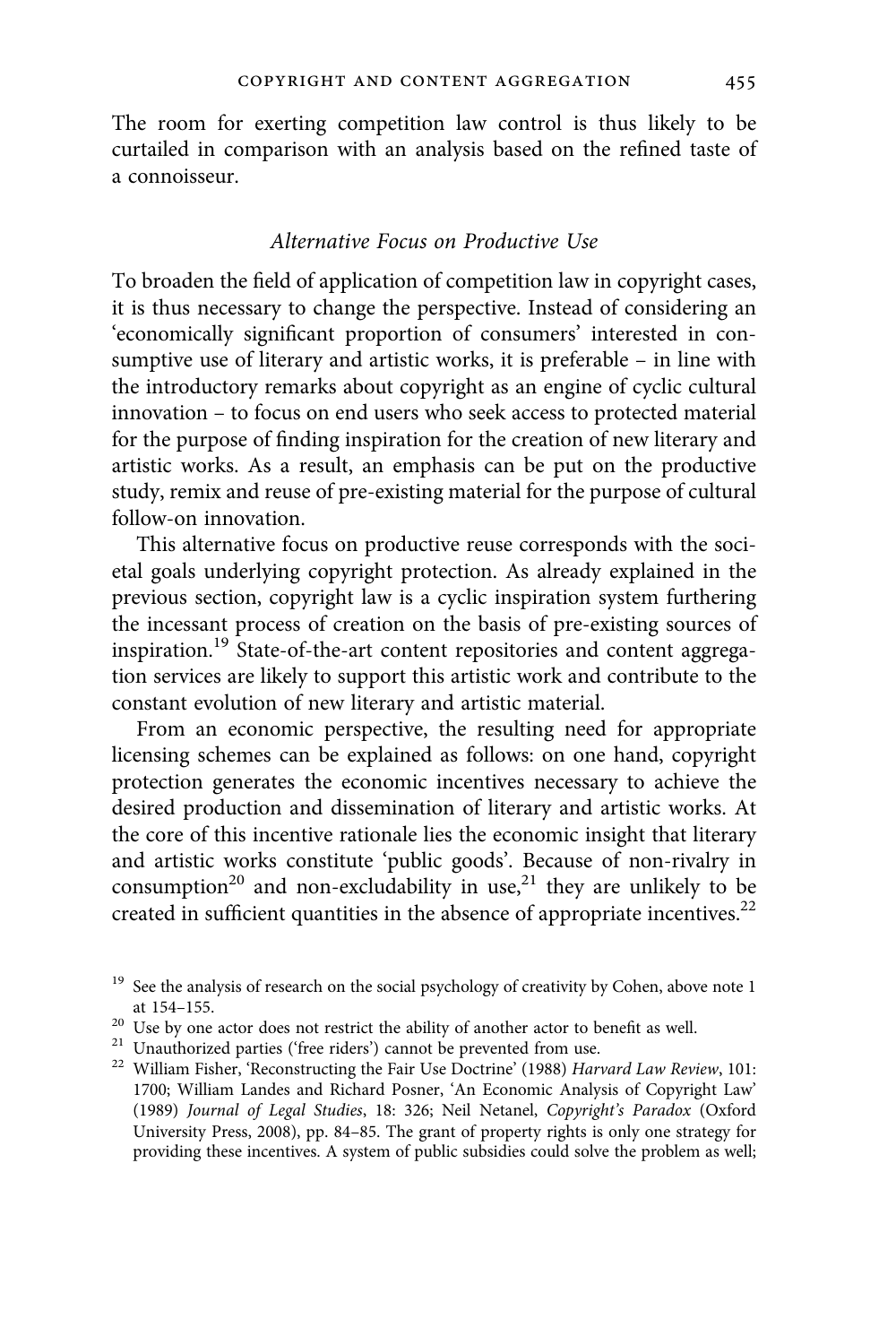The room for exerting competition law control is thus likely to be curtailed in comparison with an analysis based on the refined taste of a connoisseur.

#### Alternative Focus on Productive Use

To broaden the field of application of competition law in copyright cases, it is thus necessary to change the perspective. Instead of considering an 'economically significant proportion of consumers' interested in consumptive use of literary and artistic works, it is preferable – in line with the introductory remarks about copyright as an engine of cyclic cultural innovation – to focus on end users who seek access to protected material for the purpose of finding inspiration for the creation of new literary and artistic works. As a result, an emphasis can be put on the productive study, remix and reuse of pre-existing material for the purpose of cultural follow-on innovation.

This alternative focus on productive reuse corresponds with the societal goals underlying copyright protection. As already explained in the previous section, copyright law is a cyclic inspiration system furthering the incessant process of creation on the basis of pre-existing sources of inspiration.<sup>19</sup> State-of-the-art content repositories and content aggregation services are likely to support this artistic work and contribute to the constant evolution of new literary and artistic material.

From an economic perspective, the resulting need for appropriate licensing schemes can be explained as follows: on one hand, copyright protection generates the economic incentives necessary to achieve the desired production and dissemination of literary and artistic works. At the core of this incentive rationale lies the economic insight that literary and artistic works constitute 'public goods'. Because of non-rivalry in consumption<sup>20</sup> and non-excludability in use,<sup>21</sup> they are unlikely to be created in sufficient quantities in the absence of appropriate incentives. $^{22}$ 

<sup>&</sup>lt;sup>19</sup> See the analysis of research on the social psychology of creativity by Cohen, above note 1 at 154–155.<br><sup>20</sup> Use by one actor does not restrict the ability of another actor to benefit as well.<br><sup>21</sup> Unauthorized parties ('free riders') cannot be prevented from use.<br><sup>22</sup> William Fisher, 'Reconstructing the Fair Us

<sup>1700;</sup> William Landes and Richard Posner, 'An Economic Analysis of Copyright Law' (1989) Journal of Legal Studies, 18: 326; Neil Netanel, Copyright's Paradox (Oxford University Press, 2008), pp. 84–85. The grant of property rights is only one strategy for providing these incentives. A system of public subsidies could solve the problem as well;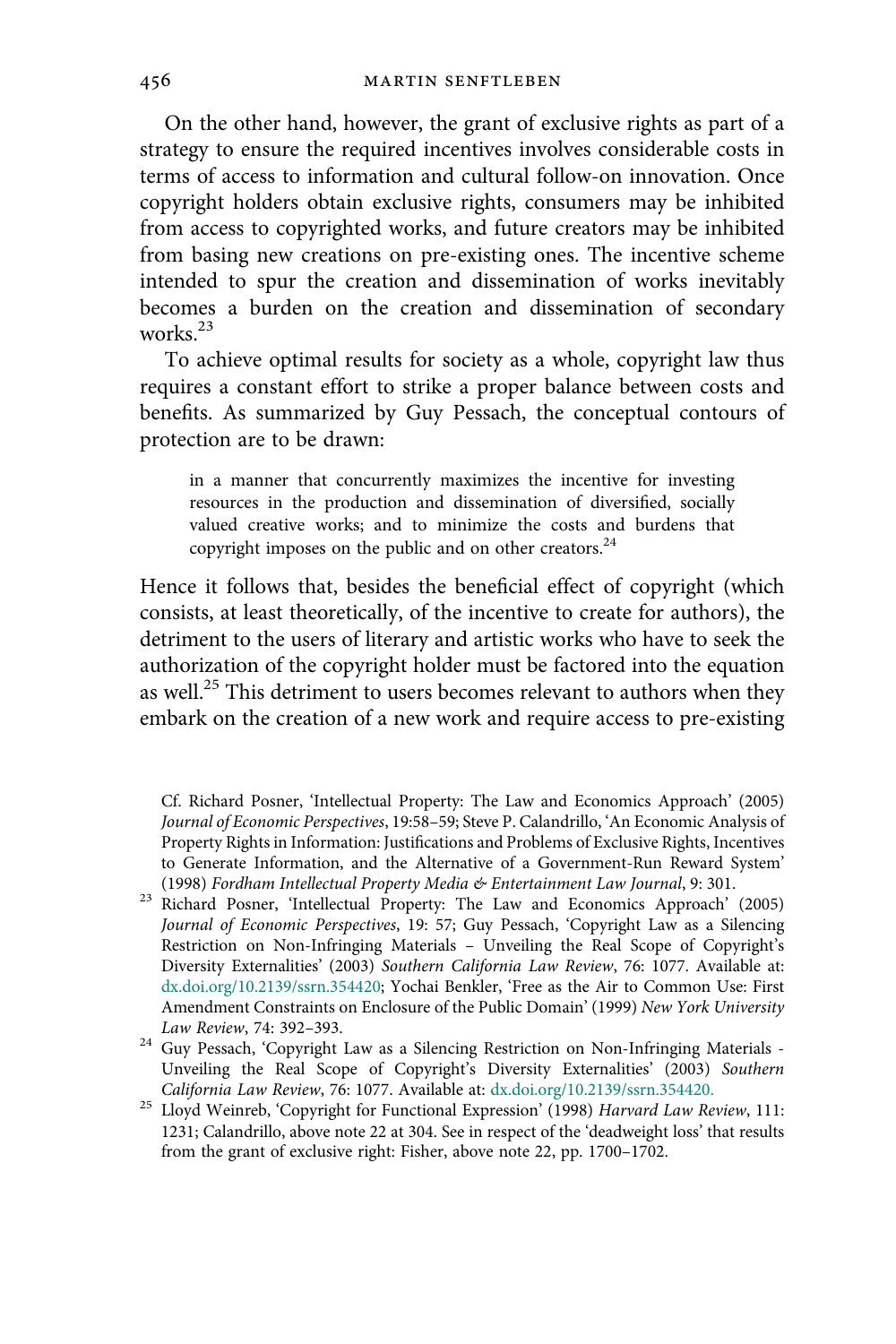On the other hand, however, the grant of exclusive rights as part of a strategy to ensure the required incentives involves considerable costs in terms of access to information and cultural follow-on innovation. Once copyright holders obtain exclusive rights, consumers may be inhibited from access to copyrighted works, and future creators may be inhibited from basing new creations on pre-existing ones. The incentive scheme intended to spur the creation and dissemination of works inevitably becomes a burden on the creation and dissemination of secondary works.<sup>23</sup>

To achieve optimal results for society as a whole, copyright law thus requires a constant effort to strike a proper balance between costs and benefits. As summarized by Guy Pessach, the conceptual contours of protection are to be drawn:

in a manner that concurrently maximizes the incentive for investing resources in the production and dissemination of diversified, socially valued creative works; and to minimize the costs and burdens that copyright imposes on the public and on other creators. $^{24}$ 

Hence it follows that, besides the beneficial effect of copyright (which consists, at least theoretically, of the incentive to create for authors), the detriment to the users of literary and artistic works who have to seek the authorization of the copyright holder must be factored into the equation as well.<sup>25</sup> This detriment to users becomes relevant to authors when they embark on the creation of a new work and require access to pre-existing

Cf. Richard Posner, 'Intellectual Property: The Law and Economics Approach' (2005) Journal of Economic Perspectives, 19:58–59; Steve P. Calandrillo, 'An Economic Analysis of Property Rights in Information: Justifications and Problems of Exclusive Rights, Incentives to Generate Information, and the Alternative of a Government-Run Reward System'

<sup>(1998)</sup> Fordham Intellectual Property Media & Entertainment Law Journal, 9: 301.<br><sup>23</sup> Richard Posner, 'Intellectual Property: The Law and Economics Approach' (2005) Journal of Economic Perspectives, 19: 57; Guy Pessach, 'Copyright Law as a Silencing Restriction on Non-Infringing Materials – Unveiling the Real Scope of Copyright's Diversity Externalities' (2003) Southern California Law Review, 76: 1077. Available at: [dx.doi.org/10.2139/ssrn.354420;](http://dx.doi.org/10.2139/ssrn.354420) Yochai Benkler, 'Free as the Air to Common Use: First Amendment Constraints on Enclosure of the Public Domain' (1999) New York University

 $\emph{Law Review, 74: 392–393.}$ <br/> $^{24}$  Guy Pessach, 'Copyright Law as a Silencing Restriction on Non-Infringing Materials -Unveiling the Real Scope of Copyright's Diversity Externalities' (2003) Southern California Law Review, 76: 1077. Available at: dx.doi.org/10.2139/ssrn.354420.

<sup>&</sup>lt;sup>25</sup> Lloyd Weinreb, 'Copyright for Functional Expression' (1998) Harvard Law Review, 111: 1231; Calandrillo, above note 22 at 304. See in respect of the 'deadweight loss' that results from the grant of exclusive right: Fisher, above note 22, pp. 1700–1702.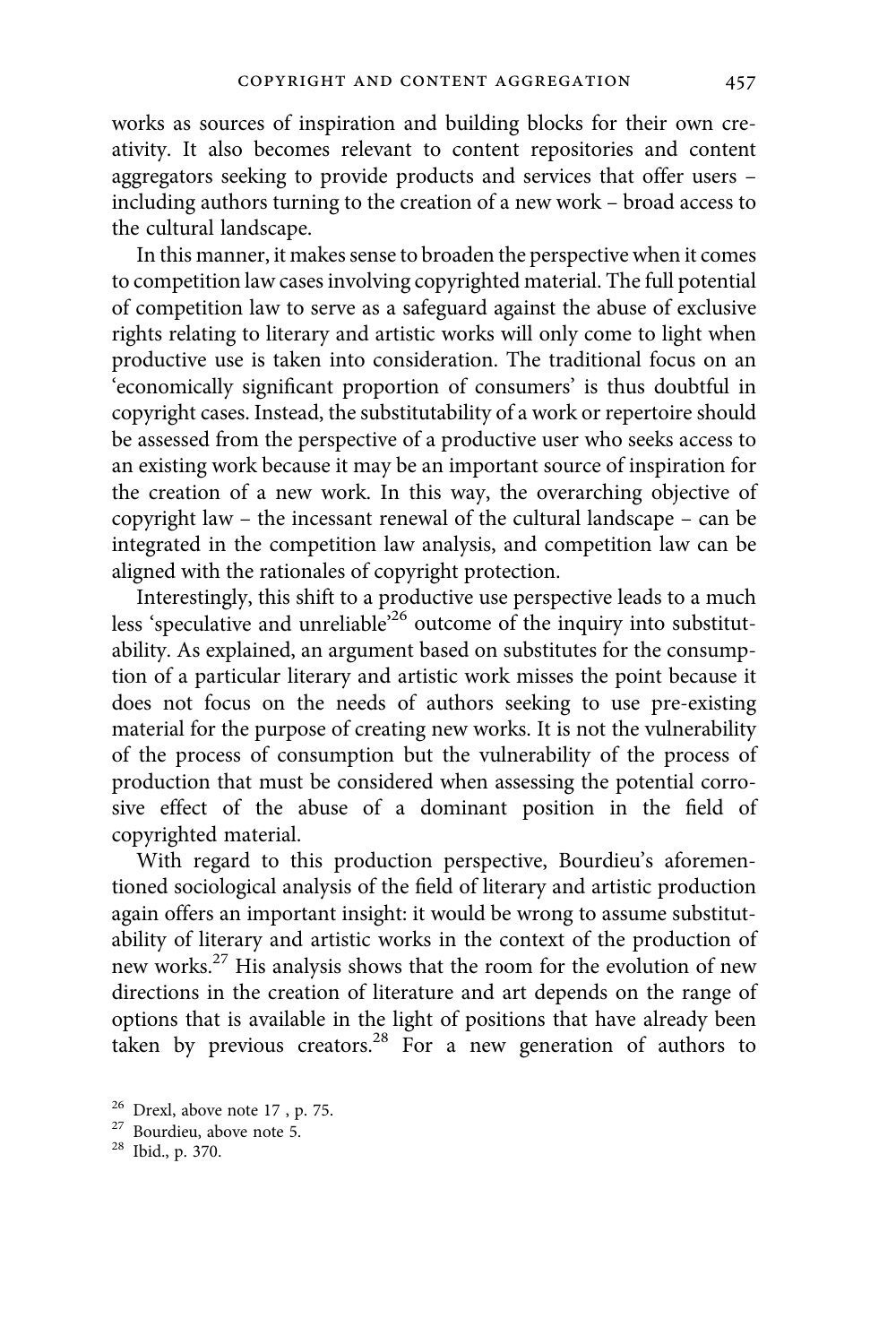works as sources of inspiration and building blocks for their own creativity. It also becomes relevant to content repositories and content aggregators seeking to provide products and services that offer users – including authors turning to the creation of a new work – broad access to the cultural landscape.

In this manner, it makes sense to broaden the perspective when it comes to competition law cases involving copyrighted material. The full potential of competition law to serve as a safeguard against the abuse of exclusive rights relating to literary and artistic works will only come to light when productive use is taken into consideration. The traditional focus on an 'economically significant proportion of consumers' is thus doubtful in copyright cases. Instead, the substitutability of a work or repertoire should be assessed from the perspective of a productive user who seeks access to an existing work because it may be an important source of inspiration for the creation of a new work. In this way, the overarching objective of copyright law – the incessant renewal of the cultural landscape – can be integrated in the competition law analysis, and competition law can be aligned with the rationales of copyright protection.

Interestingly, this shift to a productive use perspective leads to a much less 'speculative and unreliable<sup>'26</sup> outcome of the inquiry into substitutability. As explained, an argument based on substitutes for the consumption of a particular literary and artistic work misses the point because it does not focus on the needs of authors seeking to use pre-existing material for the purpose of creating new works. It is not the vulnerability of the process of consumption but the vulnerability of the process of production that must be considered when assessing the potential corrosive effect of the abuse of a dominant position in the field of copyrighted material.

With regard to this production perspective, Bourdieu's aforementioned sociological analysis of the field of literary and artistic production again offers an important insight: it would be wrong to assume substitutability of literary and artistic works in the context of the production of new works.27 His analysis shows that the room for the evolution of new directions in the creation of literature and art depends on the range of options that is available in the light of positions that have already been taken by previous creators.<sup>28</sup> For a new generation of authors to

<sup>&</sup>lt;sup>26</sup> Drexl, above note 17, p. 75.<br><sup>27</sup> Bourdieu, above note 5.<br><sup>28</sup> Ibid., p. 370.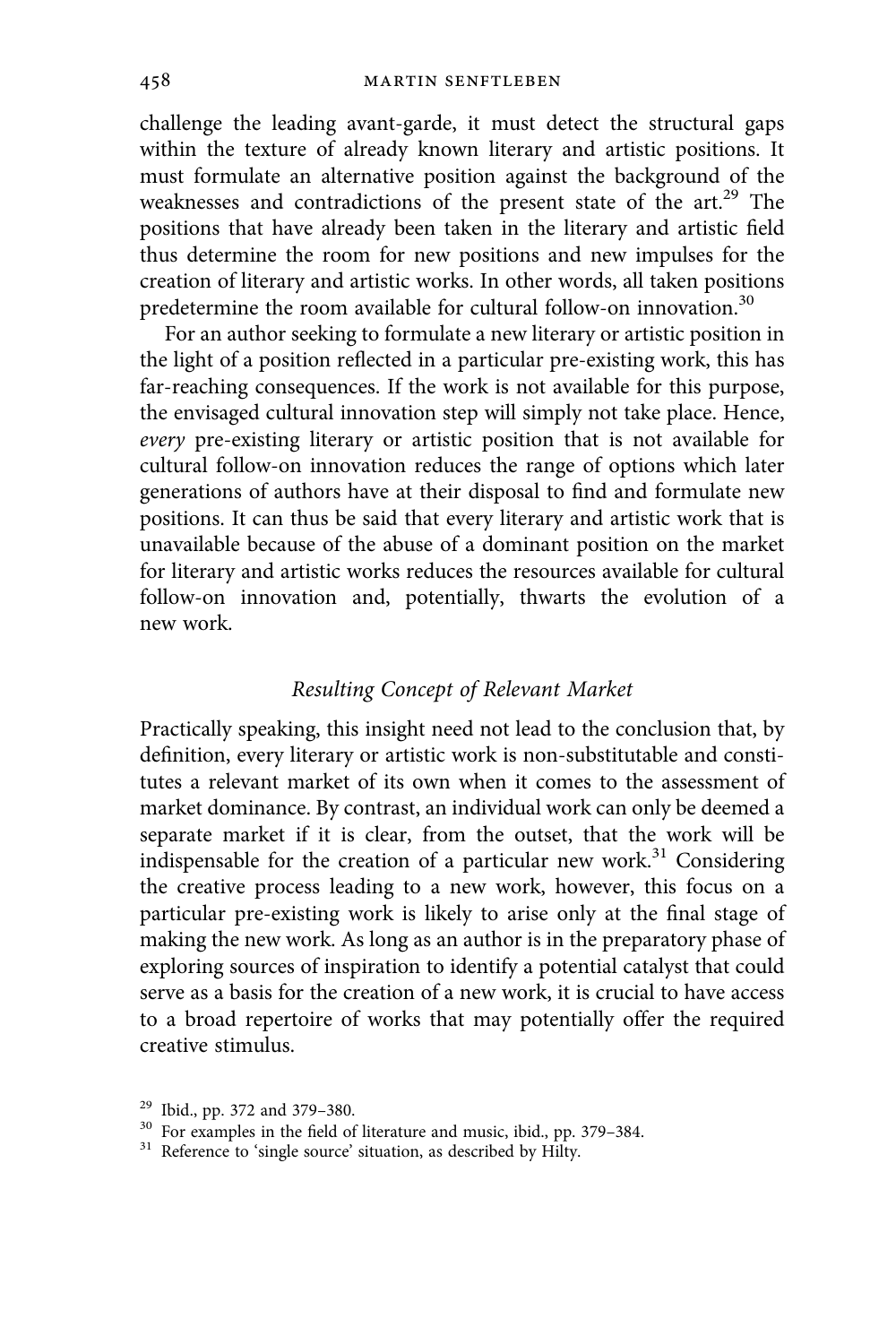challenge the leading avant-garde, it must detect the structural gaps within the texture of already known literary and artistic positions. It must formulate an alternative position against the background of the weaknesses and contradictions of the present state of the art.<sup>29</sup> The positions that have already been taken in the literary and artistic field thus determine the room for new positions and new impulses for the creation of literary and artistic works. In other words, all taken positions predetermine the room available for cultural follow-on innovation.<sup>30</sup>

For an author seeking to formulate a new literary or artistic position in the light of a position reflected in a particular pre-existing work, this has far-reaching consequences. If the work is not available for this purpose, the envisaged cultural innovation step will simply not take place. Hence, every pre-existing literary or artistic position that is not available for cultural follow-on innovation reduces the range of options which later generations of authors have at their disposal to find and formulate new positions. It can thus be said that every literary and artistic work that is unavailable because of the abuse of a dominant position on the market for literary and artistic works reduces the resources available for cultural follow-on innovation and, potentially, thwarts the evolution of a new work.

### Resulting Concept of Relevant Market

Practically speaking, this insight need not lead to the conclusion that, by definition, every literary or artistic work is non-substitutable and constitutes a relevant market of its own when it comes to the assessment of market dominance. By contrast, an individual work can only be deemed a separate market if it is clear, from the outset, that the work will be indispensable for the creation of a particular new work.<sup>31</sup> Considering the creative process leading to a new work, however, this focus on a particular pre-existing work is likely to arise only at the final stage of making the new work. As long as an author is in the preparatory phase of exploring sources of inspiration to identify a potential catalyst that could serve as a basis for the creation of a new work, it is crucial to have access to a broad repertoire of works that may potentially offer the required creative stimulus.

<sup>&</sup>lt;sup>29</sup> Ibid., pp. 372 and 379–380.<br><sup>30</sup> For examples in the field of literature and music, ibid., pp. 379–384.<br><sup>31</sup> Reference to 'single source' situation, as described by Hilty.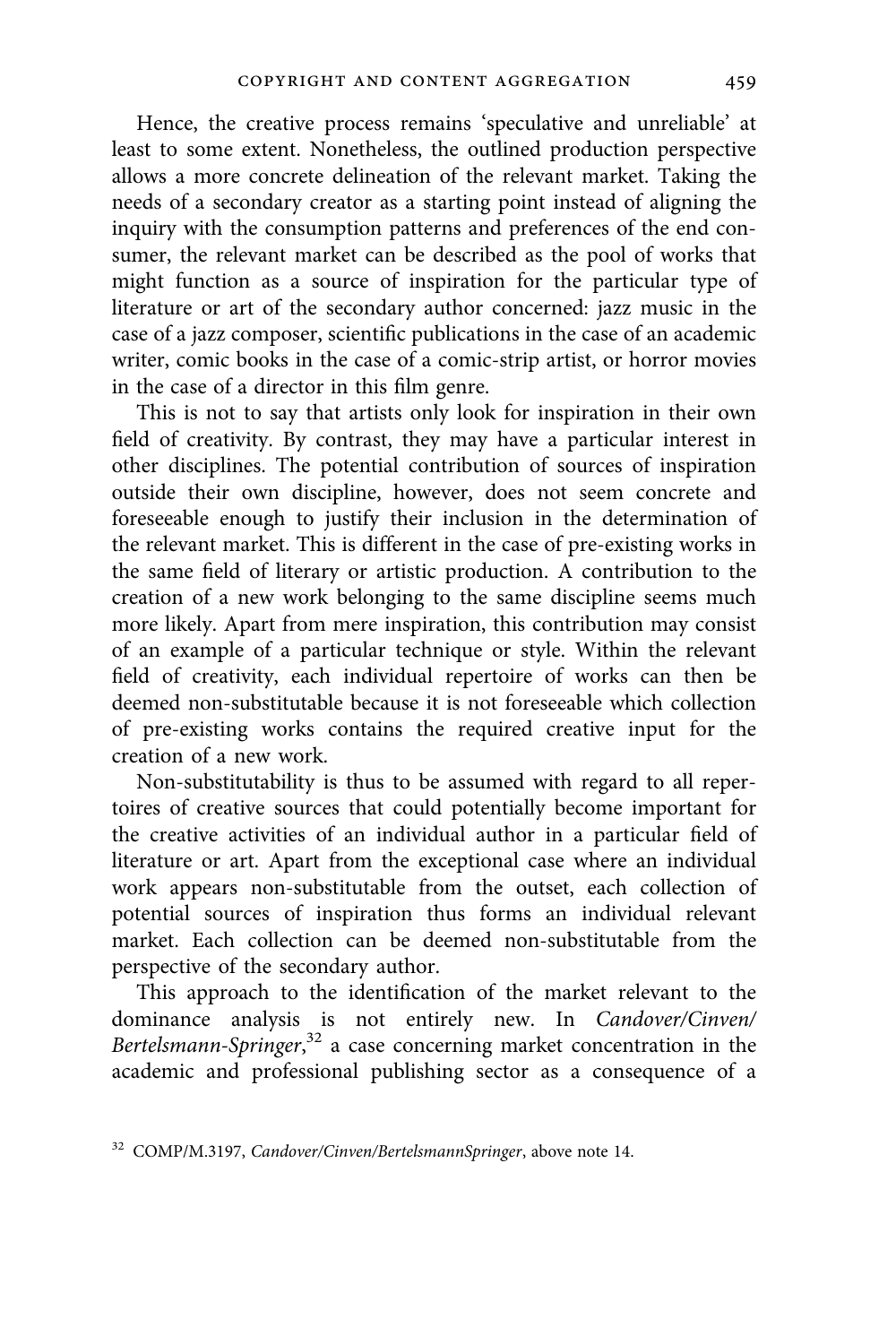Hence, the creative process remains 'speculative and unreliable' at least to some extent. Nonetheless, the outlined production perspective allows a more concrete delineation of the relevant market. Taking the needs of a secondary creator as a starting point instead of aligning the inquiry with the consumption patterns and preferences of the end consumer, the relevant market can be described as the pool of works that might function as a source of inspiration for the particular type of literature or art of the secondary author concerned: jazz music in the case of a jazz composer, scientific publications in the case of an academic writer, comic books in the case of a comic-strip artist, or horror movies in the case of a director in this film genre.

This is not to say that artists only look for inspiration in their own field of creativity. By contrast, they may have a particular interest in other disciplines. The potential contribution of sources of inspiration outside their own discipline, however, does not seem concrete and foreseeable enough to justify their inclusion in the determination of the relevant market. This is different in the case of pre-existing works in the same field of literary or artistic production. A contribution to the creation of a new work belonging to the same discipline seems much more likely. Apart from mere inspiration, this contribution may consist of an example of a particular technique or style. Within the relevant field of creativity, each individual repertoire of works can then be deemed non-substitutable because it is not foreseeable which collection of pre-existing works contains the required creative input for the creation of a new work.

Non-substitutability is thus to be assumed with regard to all repertoires of creative sources that could potentially become important for the creative activities of an individual author in a particular field of literature or art. Apart from the exceptional case where an individual work appears non-substitutable from the outset, each collection of potential sources of inspiration thus forms an individual relevant market. Each collection can be deemed non-substitutable from the perspective of the secondary author.

This approach to the identification of the market relevant to the dominance analysis is not entirely new. In Candover/Cinven/ Bertelsmann-Springer,<sup>32</sup> a case concerning market concentration in the academic and professional publishing sector as a consequence of a

 $32$  COMP/M.3197, Candover/Cinven/BertelsmannSpringer, above note 14.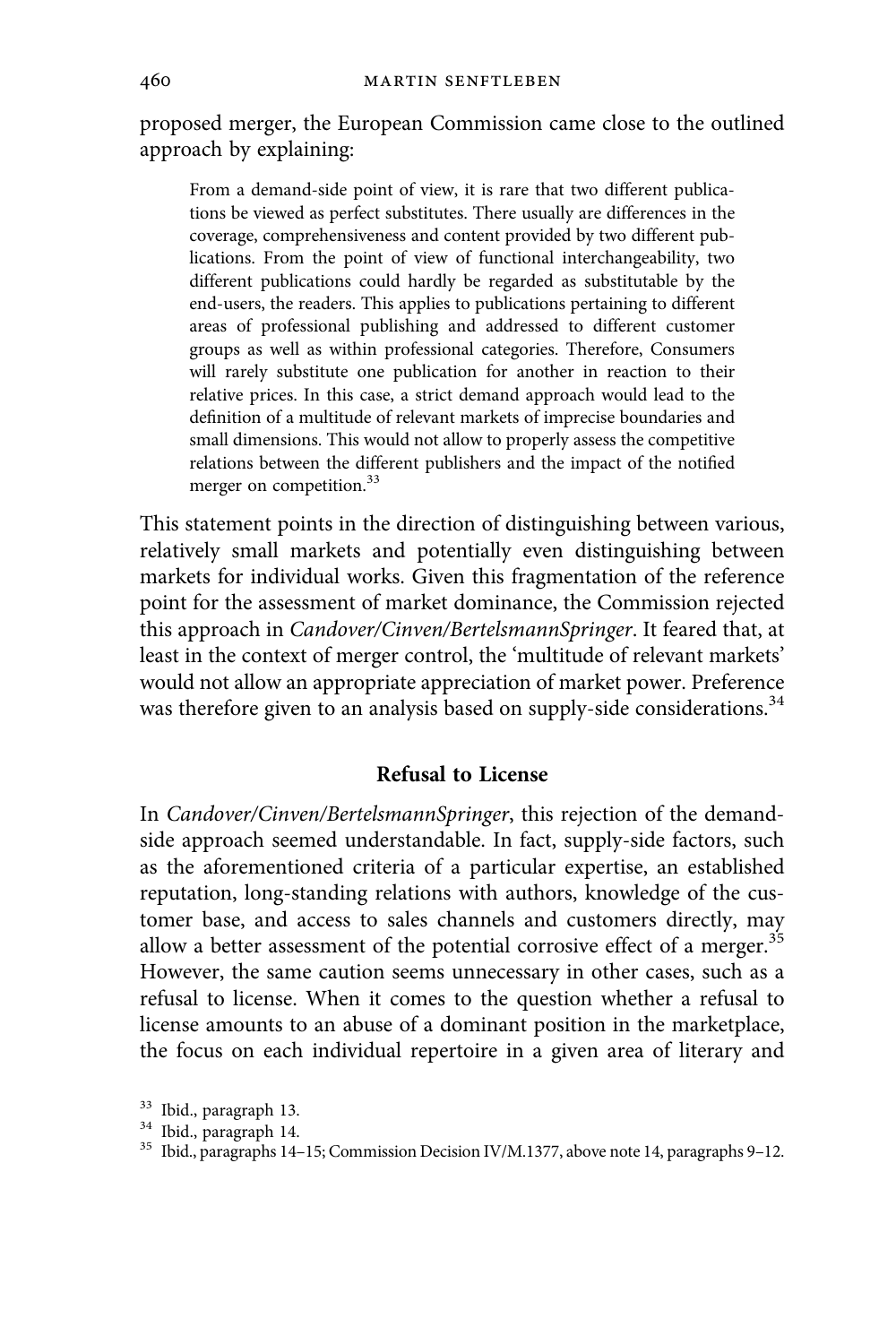proposed merger, the European Commission came close to the outlined approach by explaining:

From a demand-side point of view, it is rare that two different publications be viewed as perfect substitutes. There usually are differences in the coverage, comprehensiveness and content provided by two different publications. From the point of view of functional interchangeability, two different publications could hardly be regarded as substitutable by the end-users, the readers. This applies to publications pertaining to different areas of professional publishing and addressed to different customer groups as well as within professional categories. Therefore, Consumers will rarely substitute one publication for another in reaction to their relative prices. In this case, a strict demand approach would lead to the definition of a multitude of relevant markets of imprecise boundaries and small dimensions. This would not allow to properly assess the competitive relations between the different publishers and the impact of the notified merger on competition.<sup>33</sup>

This statement points in the direction of distinguishing between various, relatively small markets and potentially even distinguishing between markets for individual works. Given this fragmentation of the reference point for the assessment of market dominance, the Commission rejected this approach in Candover/Cinven/BertelsmannSpringer. It feared that, at least in the context of merger control, the 'multitude of relevant markets' would not allow an appropriate appreciation of market power. Preference was therefore given to an analysis based on supply-side considerations.<sup>34</sup>

#### **Refusal to License**

In Candover/Cinven/BertelsmannSpringer, this rejection of the demandside approach seemed understandable. In fact, supply-side factors, such as the aforementioned criteria of a particular expertise, an established reputation, long-standing relations with authors, knowledge of the customer base, and access to sales channels and customers directly, may allow a better assessment of the potential corrosive effect of a merger.<sup>35</sup> However, the same caution seems unnecessary in other cases, such as a refusal to license. When it comes to the question whether a refusal to license amounts to an abuse of a dominant position in the marketplace, the focus on each individual repertoire in a given area of literary and

<sup>&</sup>lt;sup>33</sup> Ibid., paragraph 13.<br><sup>34</sup> Ibid., paragraph 14.<br><sup>35</sup> Ibid., paragraphs 14–15; Commission Decision IV/M.1377, above note 14, paragraphs 9–12.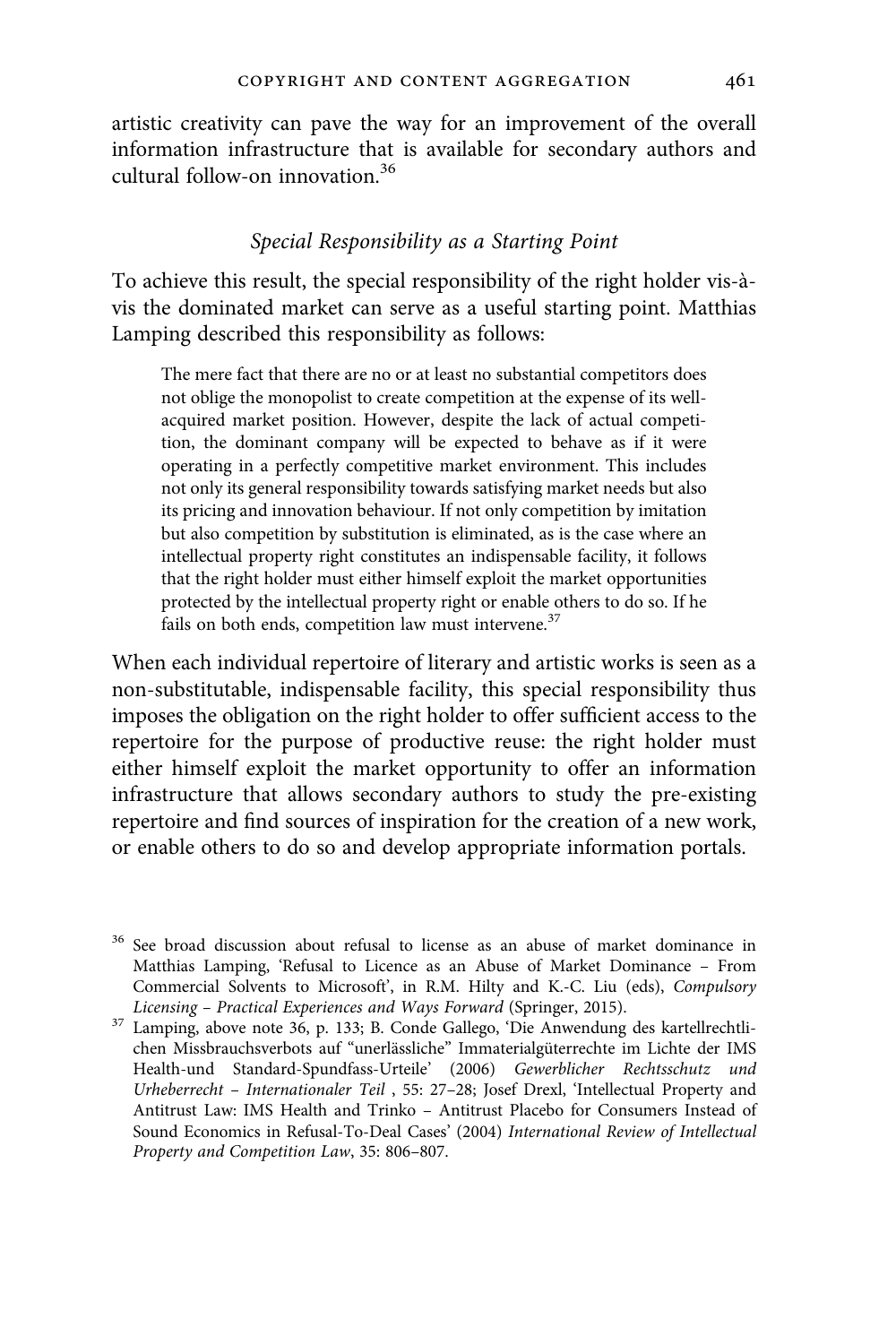artistic creativity can pave the way for an improvement of the overall information infrastructure that is available for secondary authors and cultural follow-on innovation.<sup>36</sup>

#### Special Responsibility as a Starting Point

To achieve this result, the special responsibility of the right holder vis-àvis the dominated market can serve as a useful starting point. Matthias Lamping described this responsibility as follows:

The mere fact that there are no or at least no substantial competitors does not oblige the monopolist to create competition at the expense of its wellacquired market position. However, despite the lack of actual competition, the dominant company will be expected to behave as if it were operating in a perfectly competitive market environment. This includes not only its general responsibility towards satisfying market needs but also its pricing and innovation behaviour. If not only competition by imitation but also competition by substitution is eliminated, as is the case where an intellectual property right constitutes an indispensable facility, it follows that the right holder must either himself exploit the market opportunities protected by the intellectual property right or enable others to do so. If he fails on both ends, competition law must intervene.<sup>37</sup>

When each individual repertoire of literary and artistic works is seen as a non-substitutable, indispensable facility, this special responsibility thus imposes the obligation on the right holder to offer sufficient access to the repertoire for the purpose of productive reuse: the right holder must either himself exploit the market opportunity to offer an information infrastructure that allows secondary authors to study the pre-existing repertoire and find sources of inspiration for the creation of a new work, or enable others to do so and develop appropriate information portals.

<sup>&</sup>lt;sup>36</sup> See broad discussion about refusal to license as an abuse of market dominance in Matthias Lamping, 'Refusal to Licence as an Abuse of Market Dominance – From Commercial Solvents to Microsoft', in R.M. Hilty and K.-C. Liu (eds), Compulsory

Licensing – Practical Experiences and Ways Forward (Springer, 2015). <sup>37</sup> Lamping, above note 36, p. 133; B. Conde Gallego, 'Die Anwendung des kartellrechtlichen Missbrauchsverbots auf "unerlässliche" Immaterialgüterrechte im Lichte der IMS Health-und Standard-Spundfass-Urteile' (2006) Gewerblicher Rechtsschutz und Urheberrecht – Internationaler Teil , 55: 27–28; Josef Drexl, 'Intellectual Property and Antitrust Law: IMS Health and Trinko – Antitrust Placebo for Consumers Instead of Sound Economics in Refusal-To-Deal Cases' (2004) International Review of Intellectual Property and Competition Law, 35: 806–807.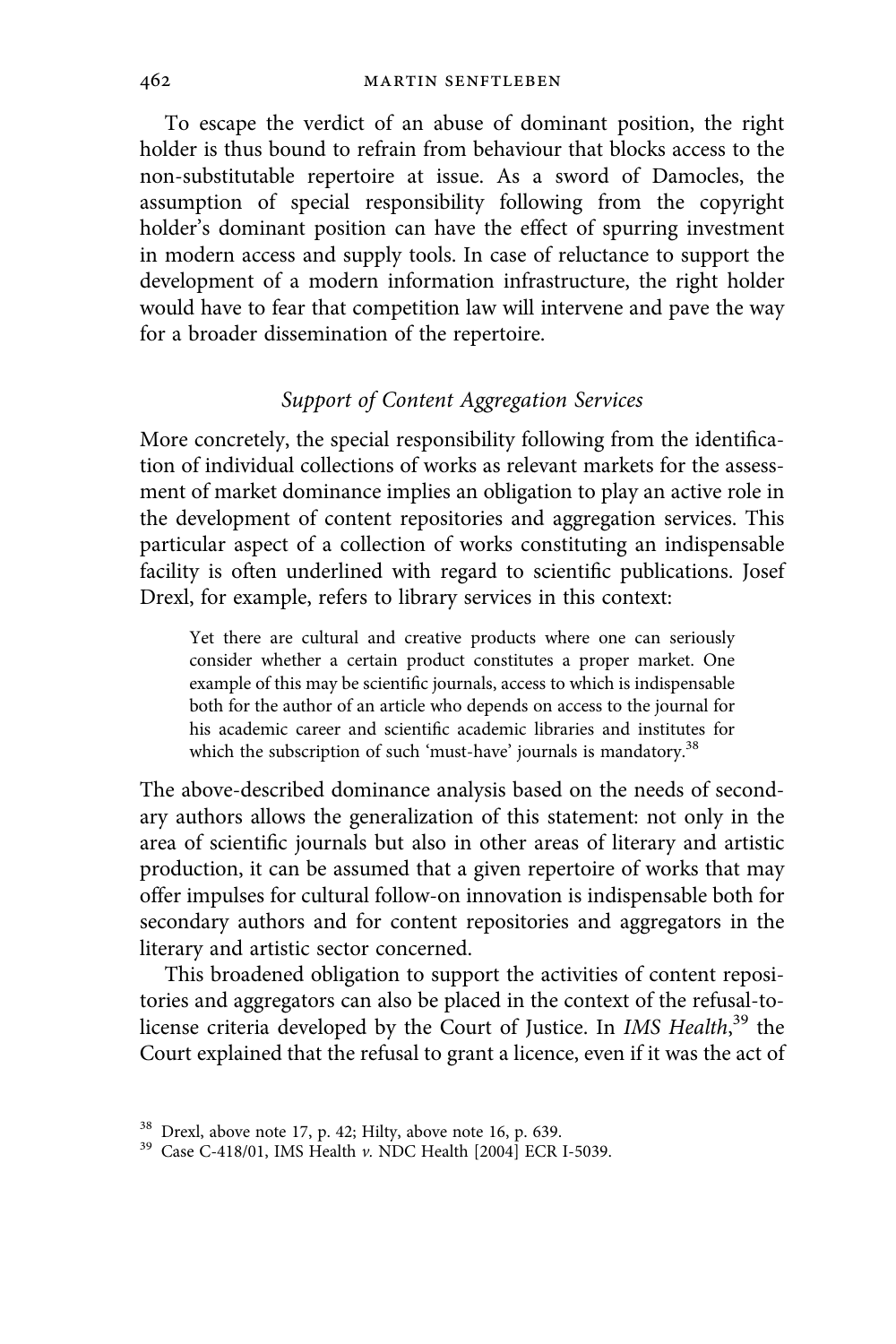To escape the verdict of an abuse of dominant position, the right holder is thus bound to refrain from behaviour that blocks access to the non-substitutable repertoire at issue. As a sword of Damocles, the assumption of special responsibility following from the copyright holder's dominant position can have the effect of spurring investment in modern access and supply tools. In case of reluctance to support the development of a modern information infrastructure, the right holder would have to fear that competition law will intervene and pave the way for a broader dissemination of the repertoire.

# Support of Content Aggregation Services

More concretely, the special responsibility following from the identification of individual collections of works as relevant markets for the assessment of market dominance implies an obligation to play an active role in the development of content repositories and aggregation services. This particular aspect of a collection of works constituting an indispensable facility is often underlined with regard to scientific publications. Josef Drexl, for example, refers to library services in this context:

Yet there are cultural and creative products where one can seriously consider whether a certain product constitutes a proper market. One example of this may be scientific journals, access to which is indispensable both for the author of an article who depends on access to the journal for his academic career and scientific academic libraries and institutes for which the subscription of such 'must-have' journals is mandatory.<sup>38</sup>

The above-described dominance analysis based on the needs of secondary authors allows the generalization of this statement: not only in the area of scientific journals but also in other areas of literary and artistic production, it can be assumed that a given repertoire of works that may offer impulses for cultural follow-on innovation is indispensable both for secondary authors and for content repositories and aggregators in the literary and artistic sector concerned.

This broadened obligation to support the activities of content repositories and aggregators can also be placed in the context of the refusal-tolicense criteria developed by the Court of Justice. In IMS Health,<sup>39</sup> the Court explained that the refusal to grant a licence, even if it was the act of

<sup>&</sup>lt;sup>38</sup> Drexl, above note 17, p. 42; Hilty, above note 16, p. 639.<br><sup>39</sup> Case C-418/01, IMS Health *v*. NDC Health [2004] ECR I-5039.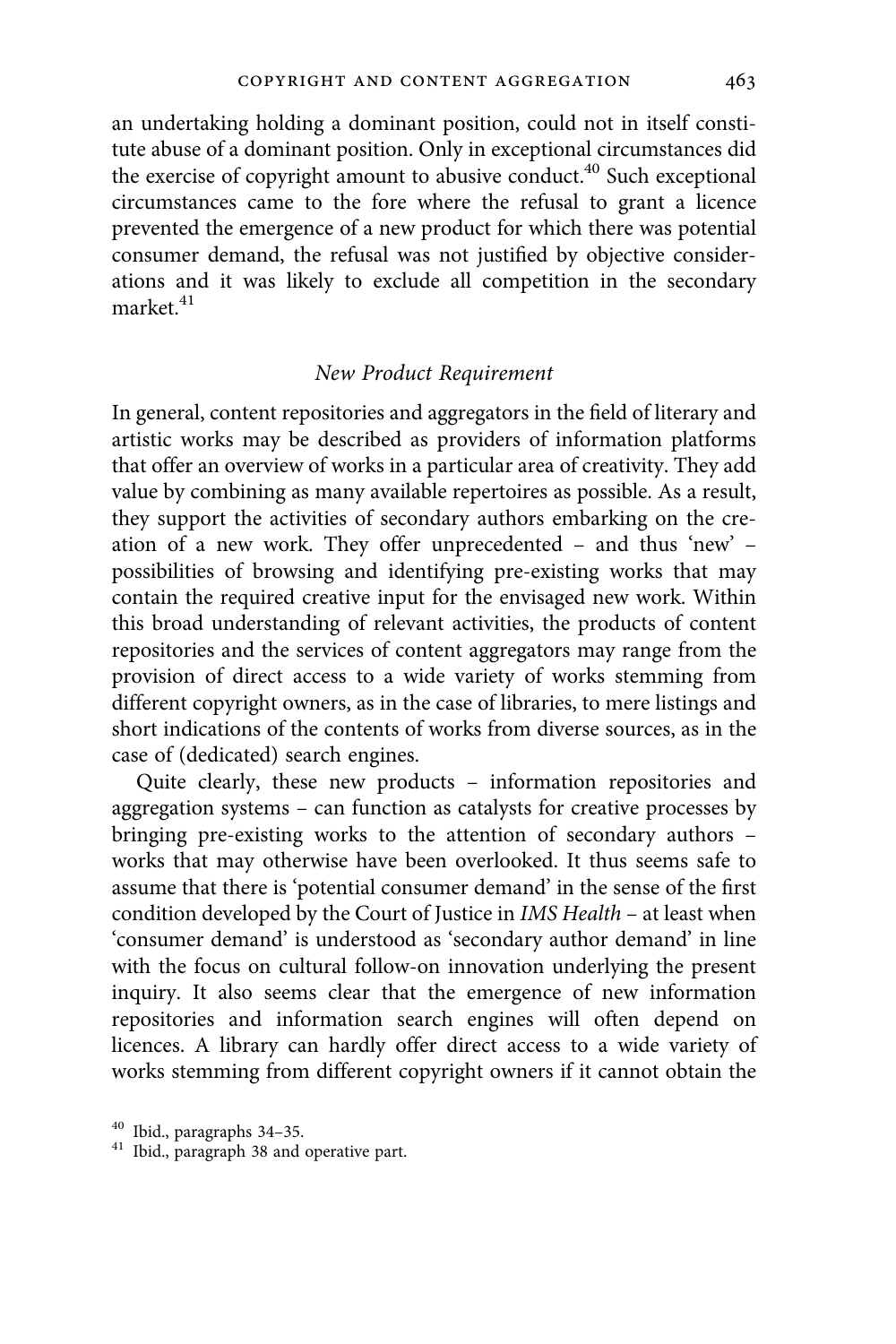an undertaking holding a dominant position, could not in itself constitute abuse of a dominant position. Only in exceptional circumstances did the exercise of copyright amount to abusive conduct.<sup>40</sup> Such exceptional circumstances came to the fore where the refusal to grant a licence prevented the emergence of a new product for which there was potential consumer demand, the refusal was not justified by objective considerations and it was likely to exclude all competition in the secondary market. $41$ 

#### New Product Requirement

In general, content repositories and aggregators in the field of literary and artistic works may be described as providers of information platforms that offer an overview of works in a particular area of creativity. They add value by combining as many available repertoires as possible. As a result, they support the activities of secondary authors embarking on the creation of a new work. They offer unprecedented – and thus 'new' – possibilities of browsing and identifying pre-existing works that may contain the required creative input for the envisaged new work. Within this broad understanding of relevant activities, the products of content repositories and the services of content aggregators may range from the provision of direct access to a wide variety of works stemming from different copyright owners, as in the case of libraries, to mere listings and short indications of the contents of works from diverse sources, as in the case of (dedicated) search engines.

Quite clearly, these new products – information repositories and aggregation systems – can function as catalysts for creative processes by bringing pre-existing works to the attention of secondary authors – works that may otherwise have been overlooked. It thus seems safe to assume that there is 'potential consumer demand' in the sense of the first condition developed by the Court of Justice in IMS Health - at least when 'consumer demand' is understood as 'secondary author demand' in line with the focus on cultural follow-on innovation underlying the present inquiry. It also seems clear that the emergence of new information repositories and information search engines will often depend on licences. A library can hardly offer direct access to a wide variety of works stemming from different copyright owners if it cannot obtain the

 $40$  Ibid., paragraphs 34–35.<br> $41$  Ibid., paragraph 38 and operative part.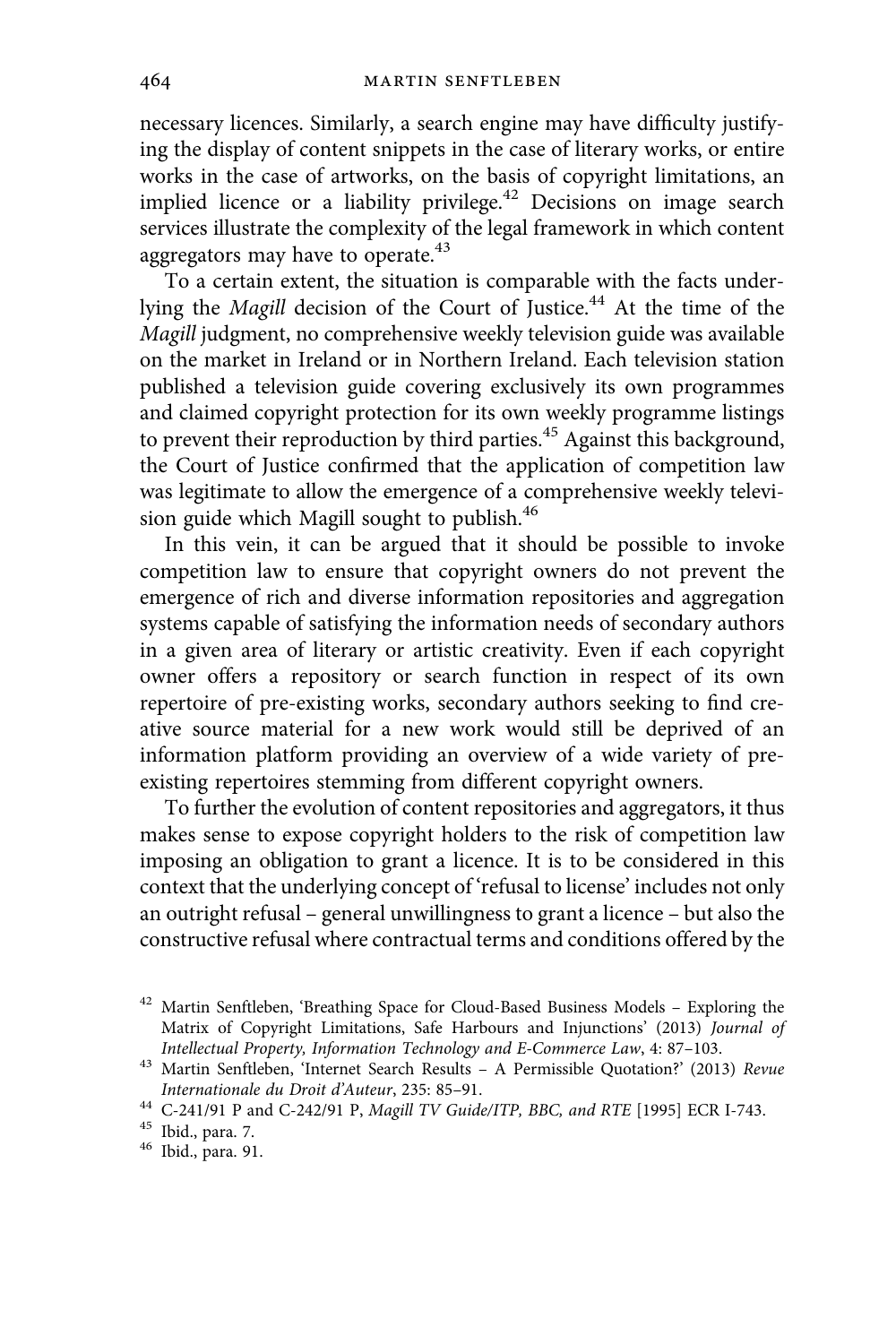necessary licences. Similarly, a search engine may have difficulty justifying the display of content snippets in the case of literary works, or entire works in the case of artworks, on the basis of copyright limitations, an implied licence or a liability privilege.<sup>42</sup> Decisions on image search services illustrate the complexity of the legal framework in which content aggregators may have to operate.<sup>43</sup>

To a certain extent, the situation is comparable with the facts underlying the Magill decision of the Court of Justice.<sup>44</sup> At the time of the Magill judgment, no comprehensive weekly television guide was available on the market in Ireland or in Northern Ireland. Each television station published a television guide covering exclusively its own programmes and claimed copyright protection for its own weekly programme listings to prevent their reproduction by third parties.<sup>45</sup> Against this background, the Court of Justice confirmed that the application of competition law was legitimate to allow the emergence of a comprehensive weekly television guide which Magill sought to publish.<sup>46</sup>

In this vein, it can be argued that it should be possible to invoke competition law to ensure that copyright owners do not prevent the emergence of rich and diverse information repositories and aggregation systems capable of satisfying the information needs of secondary authors in a given area of literary or artistic creativity. Even if each copyright owner offers a repository or search function in respect of its own repertoire of pre-existing works, secondary authors seeking to find creative source material for a new work would still be deprived of an information platform providing an overview of a wide variety of preexisting repertoires stemming from different copyright owners.

To further the evolution of content repositories and aggregators, it thus makes sense to expose copyright holders to the risk of competition law imposing an obligation to grant a licence. It is to be considered in this context that the underlying concept of 'refusal to license' includes not only an outright refusal – general unwillingness to grant a licence – but also the constructive refusal where contractual terms and conditions offered by the

<sup>42</sup> Martin Senftleben, 'Breathing Space for Cloud-Based Business Models – Exploring the Matrix of Copyright Limitations, Safe Harbours and Injunctions' (2013) Journal of

Intellectual Property, Information Technology and E-Commerce Law, 4: 87–103. <sup>43</sup> Martin Senftleben, 'Internet Search Results – A Permissible Quotation?' (2013) Revue

<sup>&</sup>lt;sup>44</sup> C-241/91 P and C-242/91 P, *Magill TV Guide/ITP, BBC, and RTE* [1995] ECR I-743.<br><sup>45</sup> Ibid., para. 7. 46 Ibid., para. 91.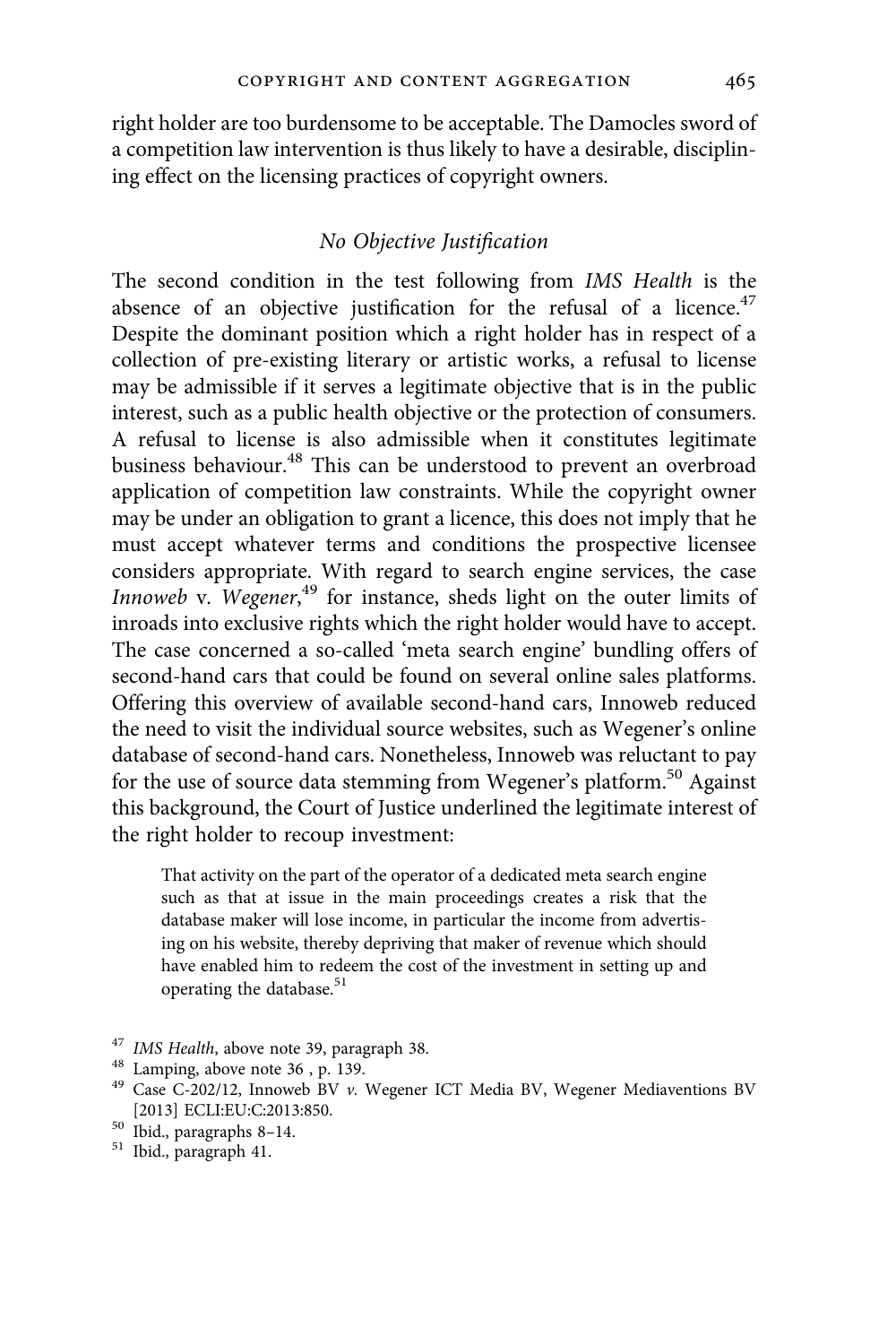right holder are too burdensome to be acceptable. The Damocles sword of a competition law intervention is thus likely to have a desirable, disciplining effect on the licensing practices of copyright owners.

### No Objective Justification

The second condition in the test following from IMS Health is the absence of an objective justification for the refusal of a licence. $47$ Despite the dominant position which a right holder has in respect of a collection of pre-existing literary or artistic works, a refusal to license may be admissible if it serves a legitimate objective that is in the public interest, such as a public health objective or the protection of consumers. A refusal to license is also admissible when it constitutes legitimate business behaviour.<sup>48</sup> This can be understood to prevent an overbroad application of competition law constraints. While the copyright owner may be under an obligation to grant a licence, this does not imply that he must accept whatever terms and conditions the prospective licensee considers appropriate. With regard to search engine services, the case Innoweb v. Wegener,<sup>49</sup> for instance, sheds light on the outer limits of inroads into exclusive rights which the right holder would have to accept. The case concerned a so-called 'meta search engine' bundling offers of second-hand cars that could be found on several online sales platforms. Offering this overview of available second-hand cars, Innoweb reduced the need to visit the individual source websites, such as Wegener's online database of second-hand cars. Nonetheless, Innoweb was reluctant to pay for the use of source data stemming from Wegener's platform.<sup>50</sup> Against this background, the Court of Justice underlined the legitimate interest of the right holder to recoup investment:

That activity on the part of the operator of a dedicated meta search engine such as that at issue in the main proceedings creates a risk that the database maker will lose income, in particular the income from advertising on his website, thereby depriving that maker of revenue which should have enabled him to redeem the cost of the investment in setting up and operating the database. $51$ 

<sup>&</sup>lt;sup>47</sup> IMS Health, above note 39, paragraph 38.<br><sup>48</sup> Lamping, above note 36 , p. 139.<br><sup>49</sup> Case C-202/12, Innoweb BV *v.* Wegener ICT Media BV, Wegener Mediaventions BV [2013] ECLI:EU:C:2013:850. <sup>50</sup> Ibid., paragraphs 8–14. <sup>51</sup> Ibid., paragraph 41.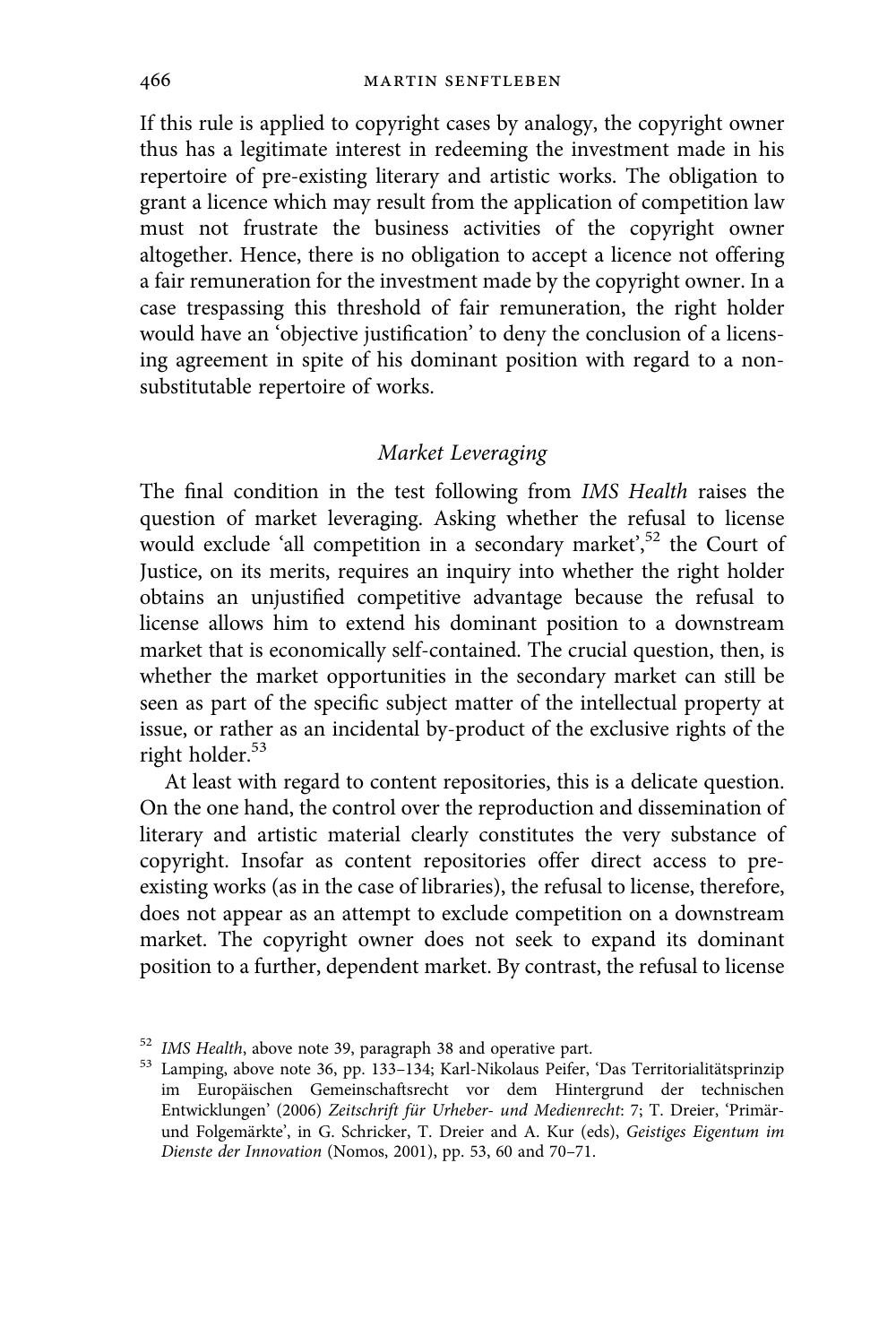If this rule is applied to copyright cases by analogy, the copyright owner thus has a legitimate interest in redeeming the investment made in his repertoire of pre-existing literary and artistic works. The obligation to grant a licence which may result from the application of competition law must not frustrate the business activities of the copyright owner altogether. Hence, there is no obligation to accept a licence not offering a fair remuneration for the investment made by the copyright owner. In a case trespassing this threshold of fair remuneration, the right holder would have an 'objective justification' to deny the conclusion of a licensing agreement in spite of his dominant position with regard to a nonsubstitutable repertoire of works.

#### Market Leveraging

The final condition in the test following from IMS Health raises the question of market leveraging. Asking whether the refusal to license would exclude 'all competition in a secondary market', <sup>52</sup> the Court of Justice, on its merits, requires an inquiry into whether the right holder obtains an unjustified competitive advantage because the refusal to license allows him to extend his dominant position to a downstream market that is economically self-contained. The crucial question, then, is whether the market opportunities in the secondary market can still be seen as part of the specific subject matter of the intellectual property at issue, or rather as an incidental by-product of the exclusive rights of the right holder.<sup>53</sup>

At least with regard to content repositories, this is a delicate question. On the one hand, the control over the reproduction and dissemination of literary and artistic material clearly constitutes the very substance of copyright. Insofar as content repositories offer direct access to preexisting works (as in the case of libraries), the refusal to license, therefore, does not appear as an attempt to exclude competition on a downstream market. The copyright owner does not seek to expand its dominant position to a further, dependent market. By contrast, the refusal to license

<sup>&</sup>lt;sup>52</sup> IMS Health, above note 39, paragraph 38 and operative part.<br><sup>53</sup> Lamping, above note 36, pp. 133–134; Karl-Nikolaus Peifer, 'Das Territorialitätsprinzip im Europäischen Gemeinschaftsrecht vor dem Hintergrund der technischen Entwicklungen' (2006) Zeitschrift für Urheber- und Medienrecht: 7; T. Dreier, 'Primärund Folgemärkte', in G. Schricker, T. Dreier and A. Kur (eds), Geistiges Eigentum im Dienste der Innovation (Nomos, 2001), pp. 53, 60 and 70–71.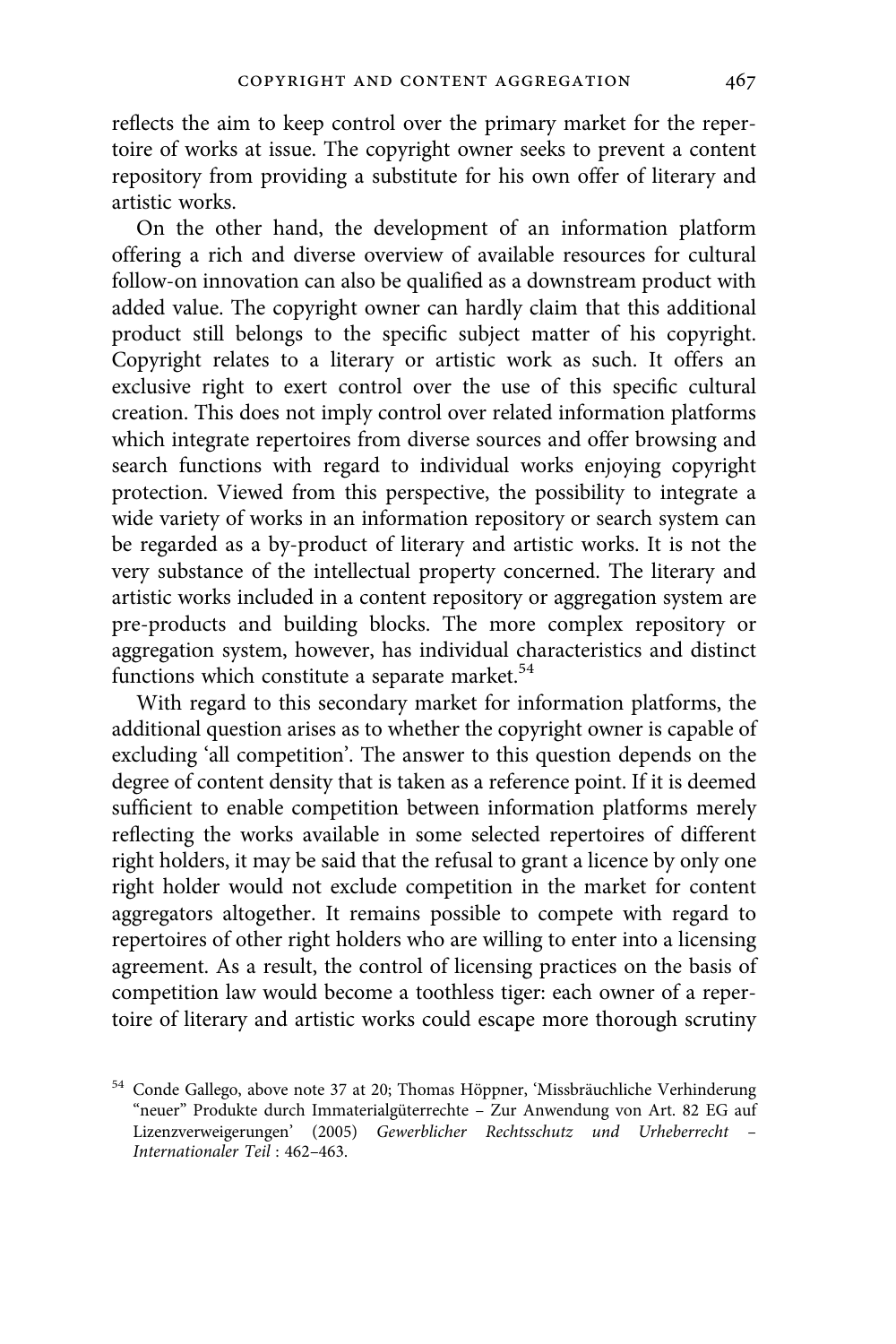reflects the aim to keep control over the primary market for the repertoire of works at issue. The copyright owner seeks to prevent a content repository from providing a substitute for his own offer of literary and artistic works.

On the other hand, the development of an information platform offering a rich and diverse overview of available resources for cultural follow-on innovation can also be qualified as a downstream product with added value. The copyright owner can hardly claim that this additional product still belongs to the specific subject matter of his copyright. Copyright relates to a literary or artistic work as such. It offers an exclusive right to exert control over the use of this specific cultural creation. This does not imply control over related information platforms which integrate repertoires from diverse sources and offer browsing and search functions with regard to individual works enjoying copyright protection. Viewed from this perspective, the possibility to integrate a wide variety of works in an information repository or search system can be regarded as a by-product of literary and artistic works. It is not the very substance of the intellectual property concerned. The literary and artistic works included in a content repository or aggregation system are pre-products and building blocks. The more complex repository or aggregation system, however, has individual characteristics and distinct functions which constitute a separate market.<sup>54</sup>

With regard to this secondary market for information platforms, the additional question arises as to whether the copyright owner is capable of excluding 'all competition'. The answer to this question depends on the degree of content density that is taken as a reference point. If it is deemed sufficient to enable competition between information platforms merely reflecting the works available in some selected repertoires of different right holders, it may be said that the refusal to grant a licence by only one right holder would not exclude competition in the market for content aggregators altogether. It remains possible to compete with regard to repertoires of other right holders who are willing to enter into a licensing agreement. As a result, the control of licensing practices on the basis of competition law would become a toothless tiger: each owner of a repertoire of literary and artistic works could escape more thorough scrutiny

<sup>54</sup> Conde Gallego, above note 37 at 20; Thomas Höppner, 'Missbräuchliche Verhinderung "neuer" Produkte durch Immaterialgüterrechte – Zur Anwendung von Art. 82 EG auf Lizenzverweigerungen' (2005) Gewerblicher Rechtsschutz und Urheberrecht – Internationaler Teil : 462–463.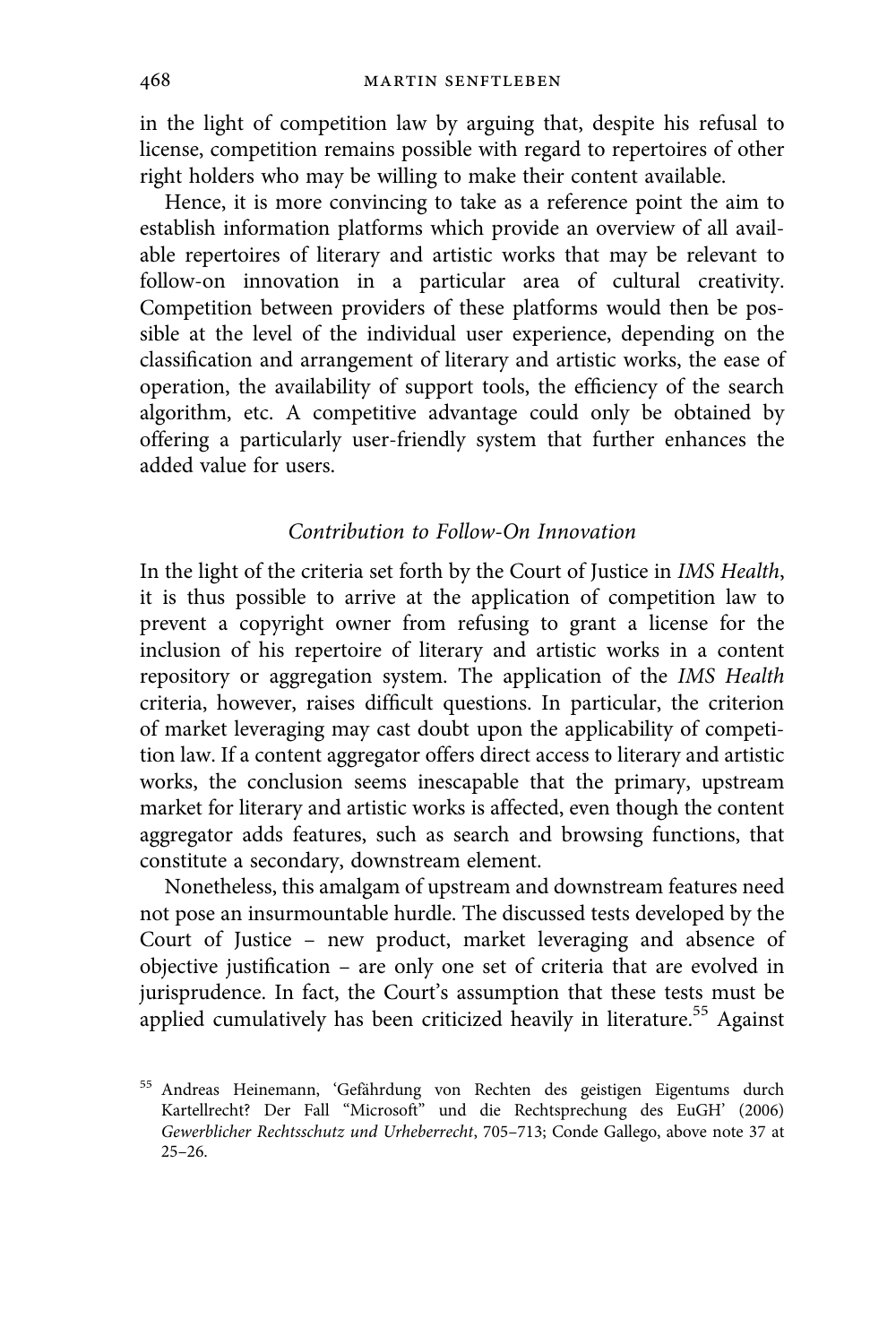in the light of competition law by arguing that, despite his refusal to license, competition remains possible with regard to repertoires of other right holders who may be willing to make their content available.

Hence, it is more convincing to take as a reference point the aim to establish information platforms which provide an overview of all available repertoires of literary and artistic works that may be relevant to follow-on innovation in a particular area of cultural creativity. Competition between providers of these platforms would then be possible at the level of the individual user experience, depending on the classification and arrangement of literary and artistic works, the ease of operation, the availability of support tools, the efficiency of the search algorithm, etc. A competitive advantage could only be obtained by offering a particularly user-friendly system that further enhances the added value for users.

# Contribution to Follow-On Innovation

In the light of the criteria set forth by the Court of Justice in IMS Health, it is thus possible to arrive at the application of competition law to prevent a copyright owner from refusing to grant a license for the inclusion of his repertoire of literary and artistic works in a content repository or aggregation system. The application of the IMS Health criteria, however, raises difficult questions. In particular, the criterion of market leveraging may cast doubt upon the applicability of competition law. If a content aggregator offers direct access to literary and artistic works, the conclusion seems inescapable that the primary, upstream market for literary and artistic works is affected, even though the content aggregator adds features, such as search and browsing functions, that constitute a secondary, downstream element.

Nonetheless, this amalgam of upstream and downstream features need not pose an insurmountable hurdle. The discussed tests developed by the Court of Justice – new product, market leveraging and absence of objective justification – are only one set of criteria that are evolved in jurisprudence. In fact, the Court's assumption that these tests must be applied cumulatively has been criticized heavily in literature.<sup>55</sup> Against

<sup>55</sup> Andreas Heinemann, 'Gefährdung von Rechten des geistigen Eigentums durch Kartellrecht? Der Fall "Microsoft" und die Rechtsprechung des EuGH' (2006) Gewerblicher Rechtsschutz und Urheberrecht, 705–713; Conde Gallego, above note 37 at 25–26.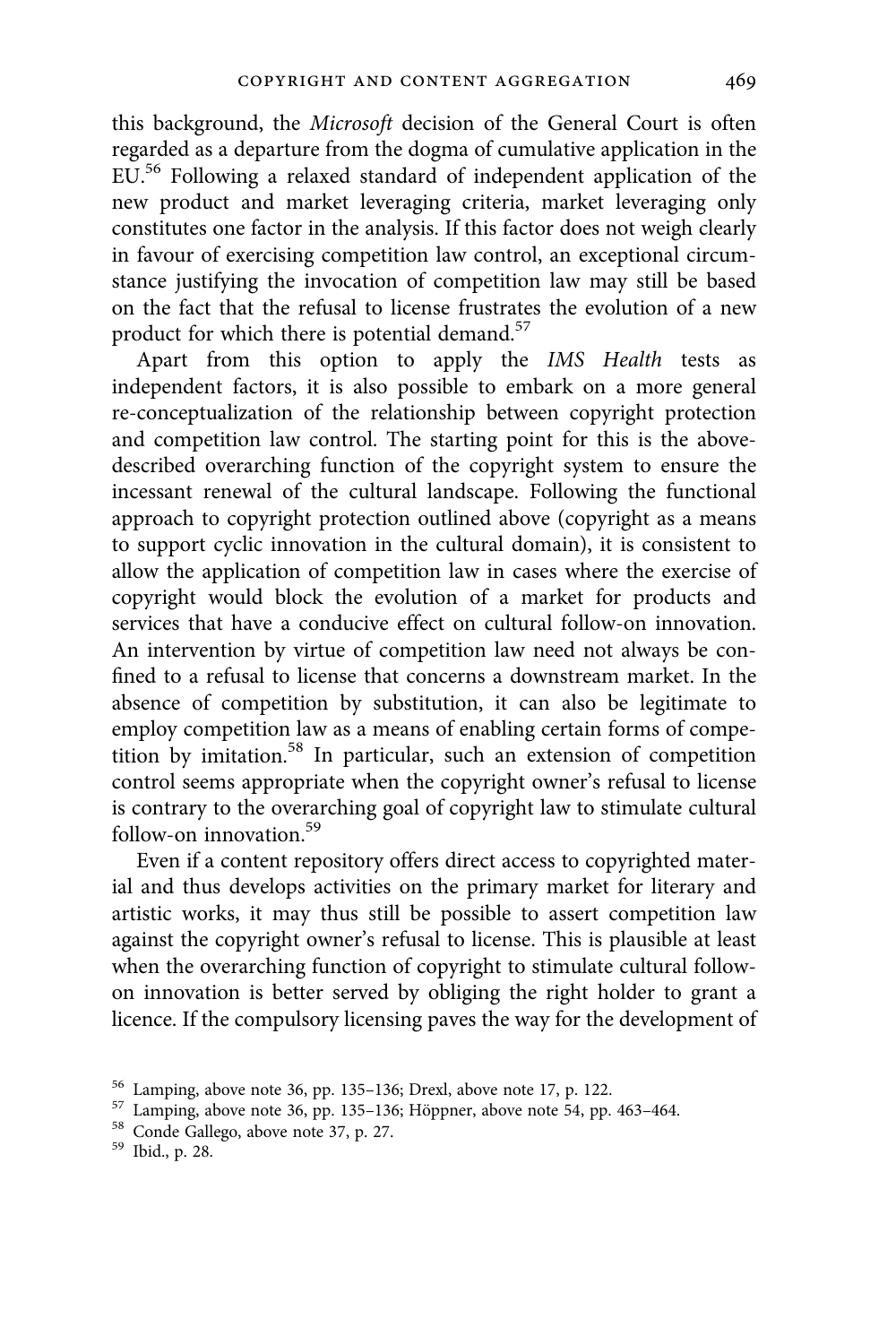this background, the Microsoft decision of the General Court is often regarded as a departure from the dogma of cumulative application in the EU.56 Following a relaxed standard of independent application of the new product and market leveraging criteria, market leveraging only constitutes one factor in the analysis. If this factor does not weigh clearly in favour of exercising competition law control, an exceptional circumstance justifying the invocation of competition law may still be based on the fact that the refusal to license frustrates the evolution of a new product for which there is potential demand.<sup>57</sup>

Apart from this option to apply the IMS Health tests as independent factors, it is also possible to embark on a more general re-conceptualization of the relationship between copyright protection and competition law control. The starting point for this is the abovedescribed overarching function of the copyright system to ensure the incessant renewal of the cultural landscape. Following the functional approach to copyright protection outlined above (copyright as a means to support cyclic innovation in the cultural domain), it is consistent to allow the application of competition law in cases where the exercise of copyright would block the evolution of a market for products and services that have a conducive effect on cultural follow-on innovation. An intervention by virtue of competition law need not always be confined to a refusal to license that concerns a downstream market. In the absence of competition by substitution, it can also be legitimate to employ competition law as a means of enabling certain forms of competition by imitation.<sup>58</sup> In particular, such an extension of competition control seems appropriate when the copyright owner's refusal to license is contrary to the overarching goal of copyright law to stimulate cultural follow-on innovation.<sup>59</sup>

Even if a content repository offers direct access to copyrighted material and thus develops activities on the primary market for literary and artistic works, it may thus still be possible to assert competition law against the copyright owner's refusal to license. This is plausible at least when the overarching function of copyright to stimulate cultural followon innovation is better served by obliging the right holder to grant a licence. If the compulsory licensing paves the way for the development of

<sup>&</sup>lt;sup>56</sup> Lamping, above note 36, pp. 135–136; Drexl, above note 17, p. 122.<br><sup>57</sup> Lamping, above note 36, pp. 135–136; Höppner, above note 54, pp. 463–464.<br><sup>58</sup> Conde Gallego, above note 37, p. 27.<br><sup>59</sup> Ibid., p. 28.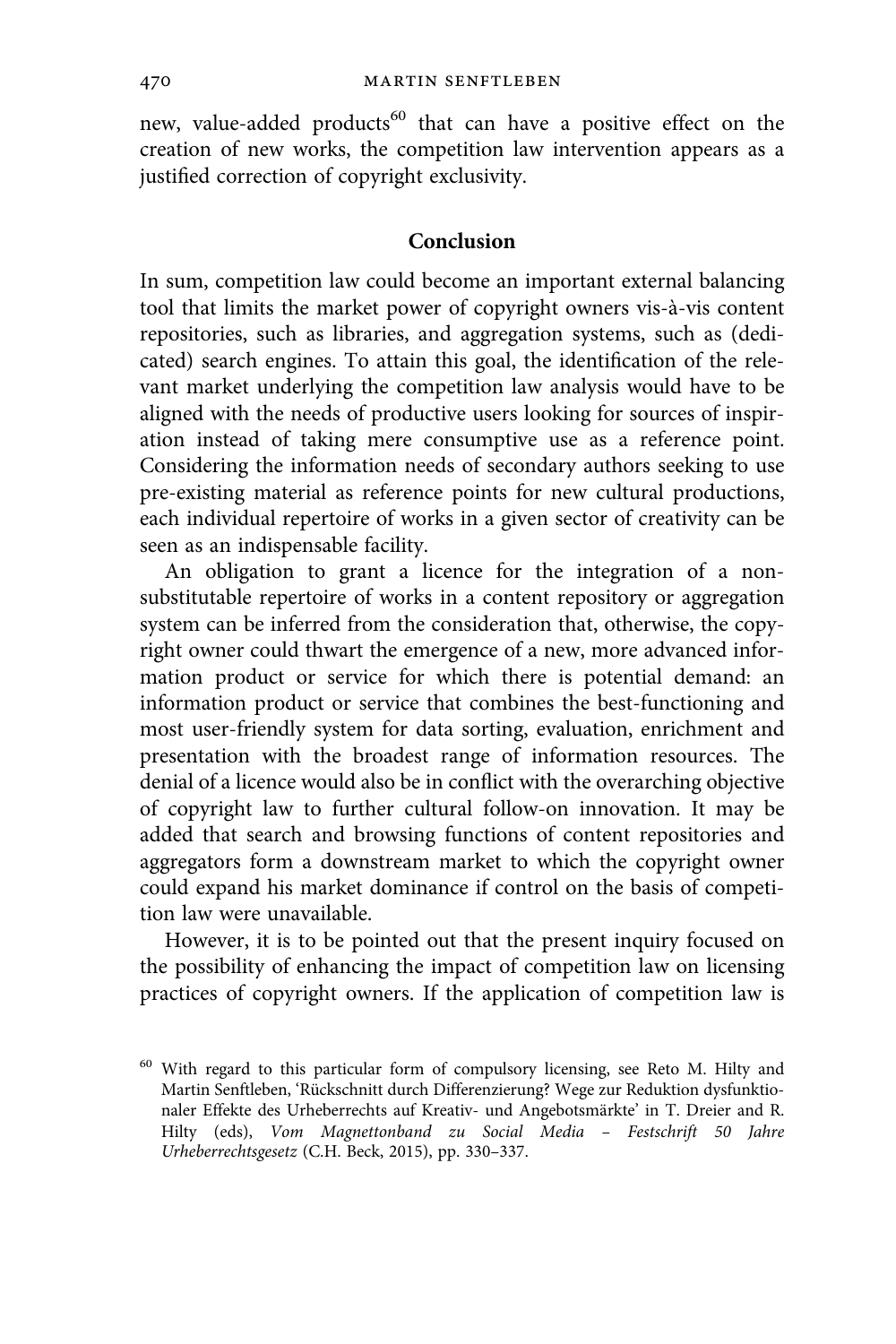new, value-added products<sup>60</sup> that can have a positive effect on the creation of new works, the competition law intervention appears as a justified correction of copyright exclusivity.

#### **Conclusion**

In sum, competition law could become an important external balancing tool that limits the market power of copyright owners vis-à-vis content repositories, such as libraries, and aggregation systems, such as (dedicated) search engines. To attain this goal, the identification of the relevant market underlying the competition law analysis would have to be aligned with the needs of productive users looking for sources of inspiration instead of taking mere consumptive use as a reference point. Considering the information needs of secondary authors seeking to use pre-existing material as reference points for new cultural productions, each individual repertoire of works in a given sector of creativity can be seen as an indispensable facility.

An obligation to grant a licence for the integration of a nonsubstitutable repertoire of works in a content repository or aggregation system can be inferred from the consideration that, otherwise, the copyright owner could thwart the emergence of a new, more advanced information product or service for which there is potential demand: an information product or service that combines the best-functioning and most user-friendly system for data sorting, evaluation, enrichment and presentation with the broadest range of information resources. The denial of a licence would also be in conflict with the overarching objective of copyright law to further cultural follow-on innovation. It may be added that search and browsing functions of content repositories and aggregators form a downstream market to which the copyright owner could expand his market dominance if control on the basis of competition law were unavailable.

However, it is to be pointed out that the present inquiry focused on the possibility of enhancing the impact of competition law on licensing practices of copyright owners. If the application of competition law is

<sup>60</sup> With regard to this particular form of compulsory licensing, see Reto M. Hilty and Martin Senftleben, 'Rückschnitt durch Differenzierung? Wege zur Reduktion dysfunktionaler Effekte des Urheberrechts auf Kreativ- und Angebotsmärkte' in T. Dreier and R. Hilty (eds), Vom Magnettonband zu Social Media – Festschrift 50 Jahre Urheberrechtsgesetz (C.H. Beck, 2015), pp. 330–337.